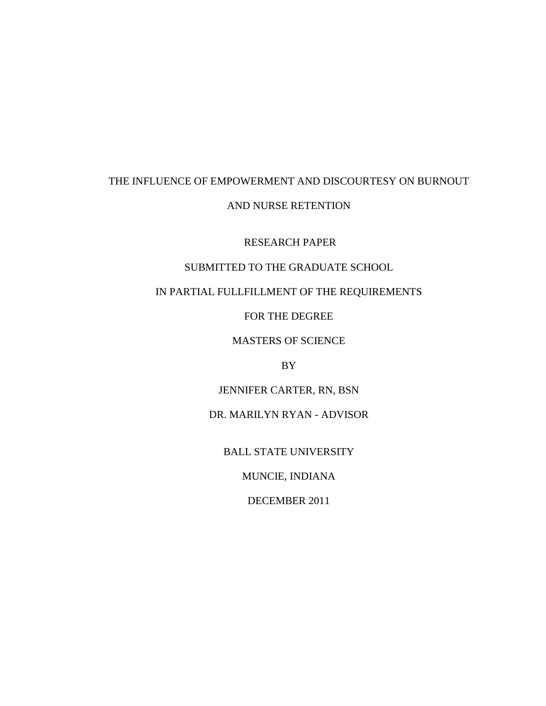# THE INFLUENCE OF EMPOWERMENT AND DISCOURTESY ON BURNOUT AND NURSE RETENTION

RESEARCH PAPER

### SUBMITTED TO THE GRADUATE SCHOOL

## IN PARTIAL FULLFILLMENT OF THE REQUIREMENTS

FOR THE DEGREE

MASTERS OF SCIENCE

BY

JENNIFER CARTER, RN, BSN

DR. MARILYN RYAN - ADVISOR

BALL STATE UNIVERSITY

MUNCIE, INDIANA

DECEMBER 2011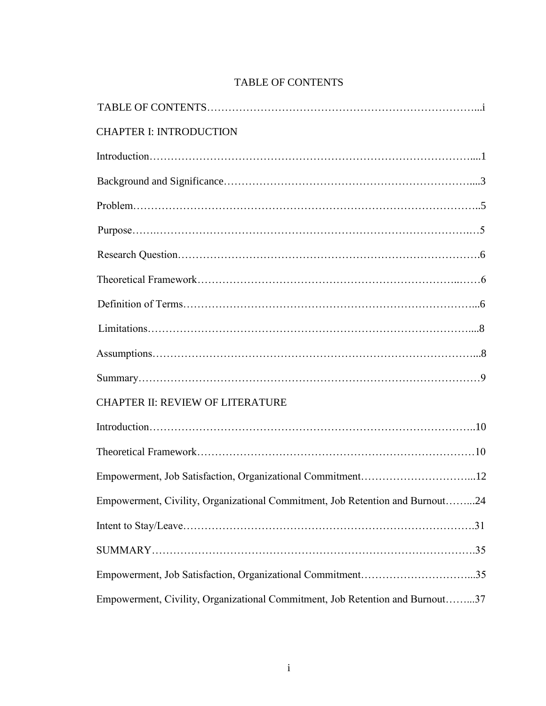| <b>CHAPTER I: INTRODUCTION</b>                                                |
|-------------------------------------------------------------------------------|
|                                                                               |
|                                                                               |
|                                                                               |
|                                                                               |
|                                                                               |
|                                                                               |
|                                                                               |
|                                                                               |
|                                                                               |
|                                                                               |
| <b>CHAPTER II: REVIEW OF LITERATURE</b>                                       |
|                                                                               |
|                                                                               |
|                                                                               |
| Empowerment, Civility, Organizational Commitment, Job Retention and Burnout24 |
|                                                                               |
|                                                                               |
|                                                                               |
| Empowerment, Civility, Organizational Commitment, Job Retention and Burnout37 |

# TABLE OF CONTENTS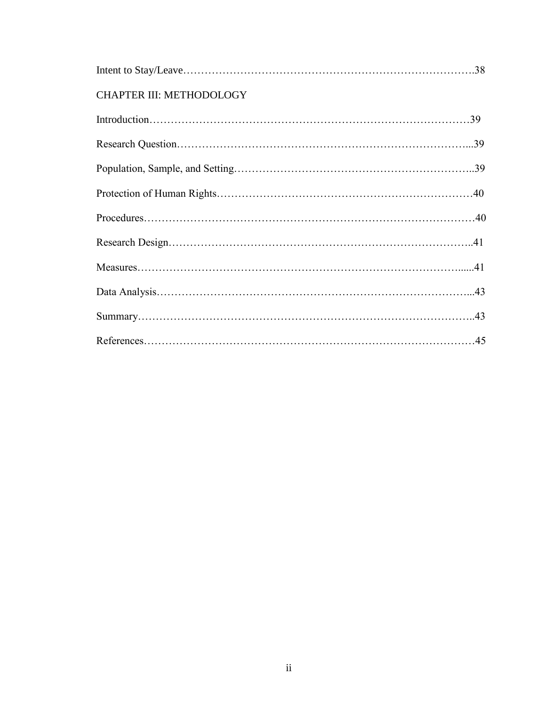## CHAPTER III: METHODOLOGY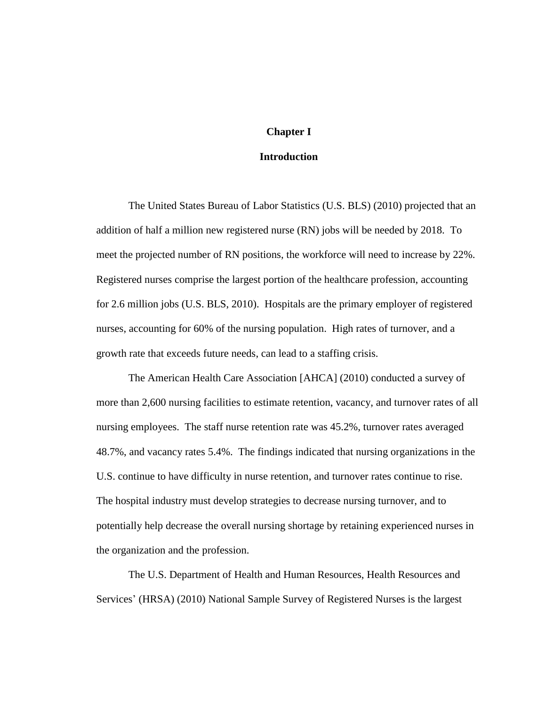### **Chapter I**

### **Introduction**

The United States Bureau of Labor Statistics (U.S. BLS) (2010) projected that an addition of half a million new registered nurse (RN) jobs will be needed by 2018. To meet the projected number of RN positions, the workforce will need to increase by 22%. Registered nurses comprise the largest portion of the healthcare profession, accounting for 2.6 million jobs (U.S. BLS, 2010). Hospitals are the primary employer of registered nurses, accounting for 60% of the nursing population. High rates of turnover, and a growth rate that exceeds future needs, can lead to a staffing crisis.

The American Health Care Association [AHCA] (2010) conducted a survey of more than 2,600 nursing facilities to estimate retention, vacancy, and turnover rates of all nursing employees. The staff nurse retention rate was 45.2%, turnover rates averaged 48.7%, and vacancy rates 5.4%. The findings indicated that nursing organizations in the U.S. continue to have difficulty in nurse retention, and turnover rates continue to rise. The hospital industry must develop strategies to decrease nursing turnover, and to potentially help decrease the overall nursing shortage by retaining experienced nurses in the organization and the profession.

The U.S. Department of Health and Human Resources, Health Resources and Services' (HRSA) (2010) National Sample Survey of Registered Nurses is the largest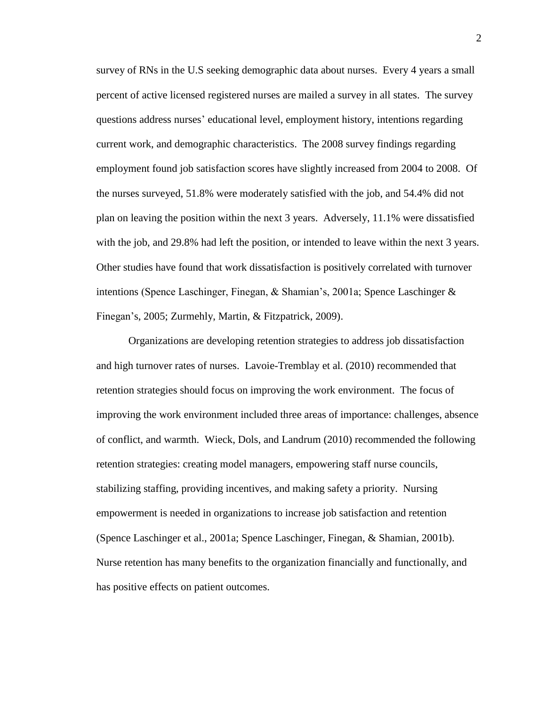survey of RNs in the U.S seeking demographic data about nurses. Every 4 years a small percent of active licensed registered nurses are mailed a survey in all states. The survey questions address nurses' educational level, employment history, intentions regarding current work, and demographic characteristics. The 2008 survey findings regarding employment found job satisfaction scores have slightly increased from 2004 to 2008. Of the nurses surveyed, 51.8% were moderately satisfied with the job, and 54.4% did not plan on leaving the position within the next 3 years. Adversely, 11.1% were dissatisfied with the job, and 29.8% had left the position, or intended to leave within the next 3 years. Other studies have found that work dissatisfaction is positively correlated with turnover intentions (Spence Laschinger, Finegan, & Shamian's, 2001a; Spence Laschinger & Finegan's, 2005; Zurmehly, Martin, & Fitzpatrick, 2009).

Organizations are developing retention strategies to address job dissatisfaction and high turnover rates of nurses. Lavoie-Tremblay et al. (2010) recommended that retention strategies should focus on improving the work environment. The focus of improving the work environment included three areas of importance: challenges, absence of conflict, and warmth. Wieck, Dols, and Landrum (2010) recommended the following retention strategies: creating model managers, empowering staff nurse councils, stabilizing staffing, providing incentives, and making safety a priority. Nursing empowerment is needed in organizations to increase job satisfaction and retention (Spence Laschinger et al., 2001a; Spence Laschinger, Finegan, & Shamian, 2001b). Nurse retention has many benefits to the organization financially and functionally, and has positive effects on patient outcomes.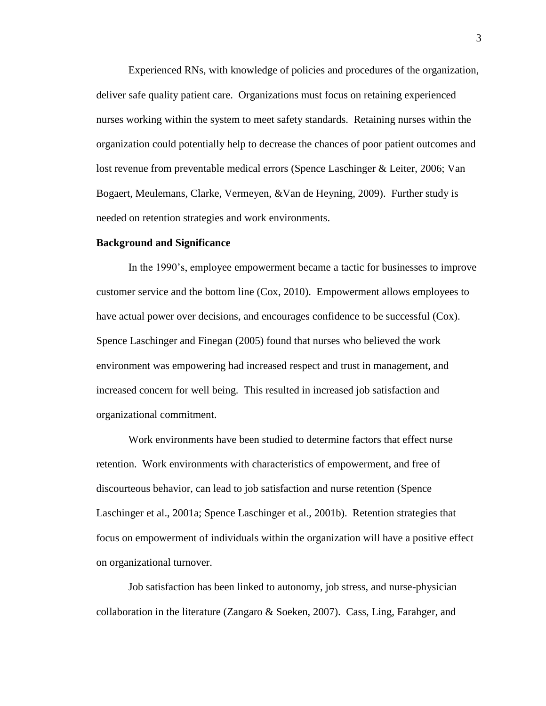Experienced RNs, with knowledge of policies and procedures of the organization, deliver safe quality patient care. Organizations must focus on retaining experienced nurses working within the system to meet safety standards. Retaining nurses within the organization could potentially help to decrease the chances of poor patient outcomes and lost revenue from preventable medical errors (Spence Laschinger & Leiter, 2006; Van Bogaert, Meulemans, Clarke, Vermeyen, &Van de Heyning, 2009). Further study is needed on retention strategies and work environments.

#### **Background and Significance**

In the 1990's, employee empowerment became a tactic for businesses to improve customer service and the bottom line (Cox, 2010). Empowerment allows employees to have actual power over decisions, and encourages confidence to be successful (Cox). Spence Laschinger and Finegan (2005) found that nurses who believed the work environment was empowering had increased respect and trust in management, and increased concern for well being. This resulted in increased job satisfaction and organizational commitment.

Work environments have been studied to determine factors that effect nurse retention. Work environments with characteristics of empowerment, and free of discourteous behavior, can lead to job satisfaction and nurse retention (Spence Laschinger et al., 2001a; Spence Laschinger et al., 2001b). Retention strategies that focus on empowerment of individuals within the organization will have a positive effect on organizational turnover.

Job satisfaction has been linked to autonomy, job stress, and nurse-physician collaboration in the literature (Zangaro  $\&$  Soeken, 2007). Cass, Ling, Farahger, and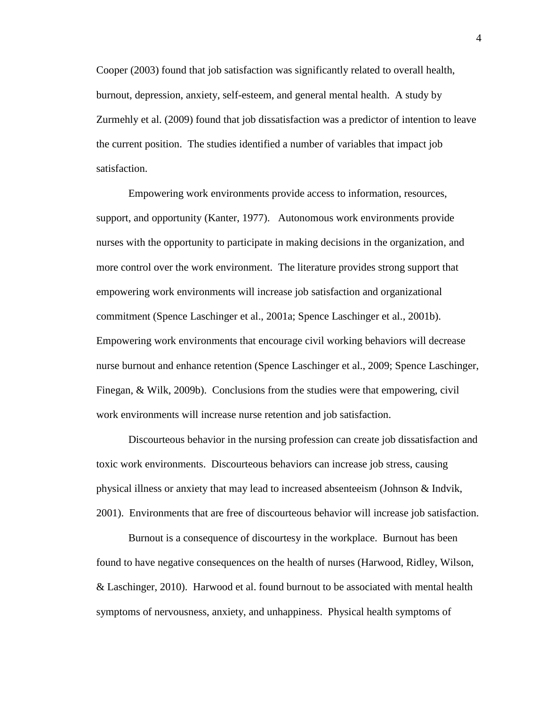Cooper (2003) found that job satisfaction was significantly related to overall health, burnout, depression, anxiety, self-esteem, and general mental health. A study by Zurmehly et al. (2009) found that job dissatisfaction was a predictor of intention to leave the current position. The studies identified a number of variables that impact job satisfaction.

Empowering work environments provide access to information, resources, support, and opportunity (Kanter, 1977). Autonomous work environments provide nurses with the opportunity to participate in making decisions in the organization, and more control over the work environment. The literature provides strong support that empowering work environments will increase job satisfaction and organizational commitment (Spence Laschinger et al., 2001a; Spence Laschinger et al., 2001b). Empowering work environments that encourage civil working behaviors will decrease nurse burnout and enhance retention (Spence Laschinger et al., 2009; Spence Laschinger, Finegan, & Wilk, 2009b). Conclusions from the studies were that empowering, civil work environments will increase nurse retention and job satisfaction.

Discourteous behavior in the nursing profession can create job dissatisfaction and toxic work environments. Discourteous behaviors can increase job stress, causing physical illness or anxiety that may lead to increased absenteeism (Johnson & Indvik, 2001). Environments that are free of discourteous behavior will increase job satisfaction.

Burnout is a consequence of discourtesy in the workplace. Burnout has been found to have negative consequences on the health of nurses (Harwood, Ridley, Wilson, & Laschinger, 2010). Harwood et al. found burnout to be associated with mental health symptoms of nervousness, anxiety, and unhappiness. Physical health symptoms of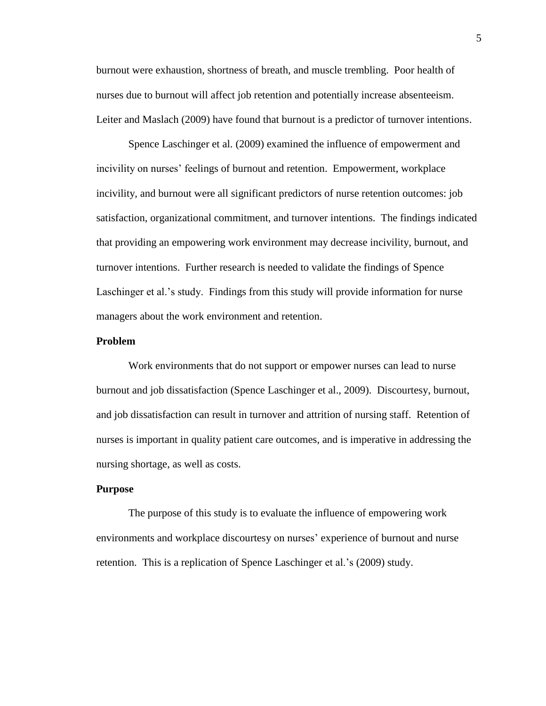burnout were exhaustion, shortness of breath, and muscle trembling. Poor health of nurses due to burnout will affect job retention and potentially increase absenteeism. Leiter and Maslach (2009) have found that burnout is a predictor of turnover intentions.

Spence Laschinger et al. (2009) examined the influence of empowerment and incivility on nurses' feelings of burnout and retention. Empowerment, workplace incivility, and burnout were all significant predictors of nurse retention outcomes: job satisfaction, organizational commitment, and turnover intentions. The findings indicated that providing an empowering work environment may decrease incivility, burnout, and turnover intentions. Further research is needed to validate the findings of Spence Laschinger et al.'s study. Findings from this study will provide information for nurse managers about the work environment and retention.

#### **Problem**

Work environments that do not support or empower nurses can lead to nurse burnout and job dissatisfaction (Spence Laschinger et al., 2009). Discourtesy, burnout, and job dissatisfaction can result in turnover and attrition of nursing staff. Retention of nurses is important in quality patient care outcomes, and is imperative in addressing the nursing shortage, as well as costs.

### **Purpose**

The purpose of this study is to evaluate the influence of empowering work environments and workplace discourtesy on nurses' experience of burnout and nurse retention. This is a replication of Spence Laschinger et al.'s (2009) study.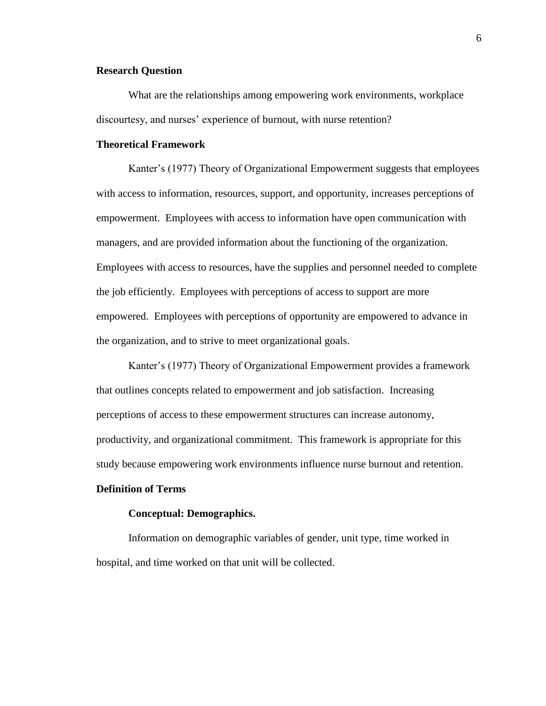### **Research Question**

What are the relationships among empowering work environments, workplace discourtesy, and nurses' experience of burnout, with nurse retention?

### **Theoretical Framework**

Kanter's (1977) Theory of Organizational Empowerment suggests that employees with access to information, resources, support, and opportunity, increases perceptions of empowerment. Employees with access to information have open communication with managers, and are provided information about the functioning of the organization. Employees with access to resources, have the supplies and personnel needed to complete the job efficiently. Employees with perceptions of access to support are more empowered. Employees with perceptions of opportunity are empowered to advance in the organization, and to strive to meet organizational goals.

Kanter's (1977) Theory of Organizational Empowerment provides a framework that outlines concepts related to empowerment and job satisfaction. Increasing perceptions of access to these empowerment structures can increase autonomy, productivity, and organizational commitment. This framework is appropriate for this study because empowering work environments influence nurse burnout and retention.

### **Definition of Terms**

#### **Conceptual: Demographics.**

Information on demographic variables of gender, unit type, time worked in hospital, and time worked on that unit will be collected.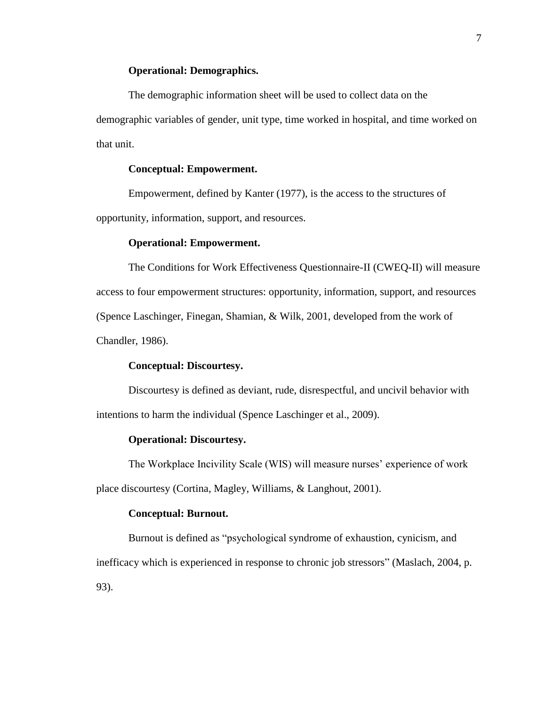### **Operational: Demographics.**

The demographic information sheet will be used to collect data on the demographic variables of gender, unit type, time worked in hospital, and time worked on that unit.

### **Conceptual: Empowerment.**

Empowerment, defined by Kanter (1977), is the access to the structures of opportunity, information, support, and resources.

### **Operational: Empowerment.**

The Conditions for Work Effectiveness Questionnaire-II (CWEQ-II) will measure access to four empowerment structures: opportunity, information, support, and resources (Spence Laschinger, Finegan, Shamian, & Wilk, 2001, developed from the work of Chandler, 1986).

### **Conceptual: Discourtesy.**

Discourtesy is defined as deviant, rude, disrespectful, and uncivil behavior with intentions to harm the individual (Spence Laschinger et al., 2009).

### **Operational: Discourtesy.**

The Workplace Incivility Scale (WIS) will measure nurses' experience of work place discourtesy (Cortina, Magley, Williams, & Langhout, 2001).

#### **Conceptual: Burnout.**

Burnout is defined as "psychological syndrome of exhaustion, cynicism, and inefficacy which is experienced in response to chronic job stressors" (Maslach, 2004, p. 93).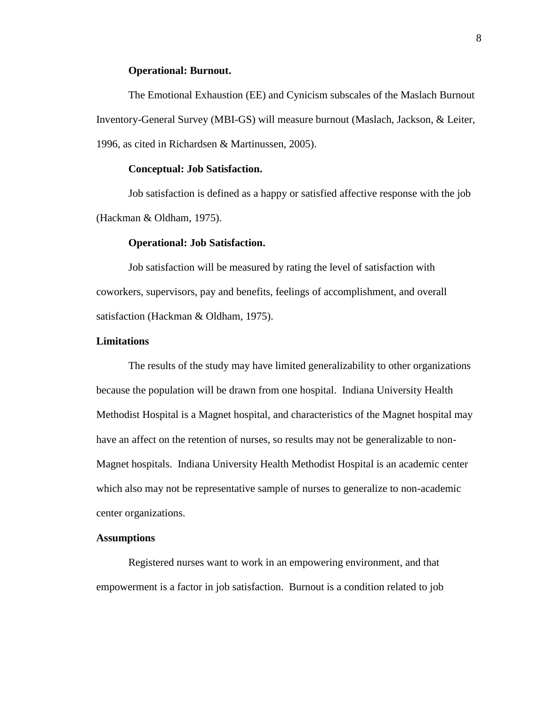### **Operational: Burnout.**

The Emotional Exhaustion (EE) and Cynicism subscales of the Maslach Burnout Inventory-General Survey (MBI-GS) will measure burnout (Maslach, Jackson, & Leiter, 1996, as cited in Richardsen & Martinussen, 2005).

#### **Conceptual: Job Satisfaction.**

Job satisfaction is defined as a happy or satisfied affective response with the job (Hackman & Oldham, 1975).

#### **Operational: Job Satisfaction.**

Job satisfaction will be measured by rating the level of satisfaction with coworkers, supervisors, pay and benefits, feelings of accomplishment, and overall satisfaction (Hackman & Oldham, 1975).

### **Limitations**

The results of the study may have limited generalizability to other organizations because the population will be drawn from one hospital. Indiana University Health Methodist Hospital is a Magnet hospital, and characteristics of the Magnet hospital may have an affect on the retention of nurses, so results may not be generalizable to non-Magnet hospitals. Indiana University Health Methodist Hospital is an academic center which also may not be representative sample of nurses to generalize to non-academic center organizations.

### **Assumptions**

Registered nurses want to work in an empowering environment, and that empowerment is a factor in job satisfaction. Burnout is a condition related to job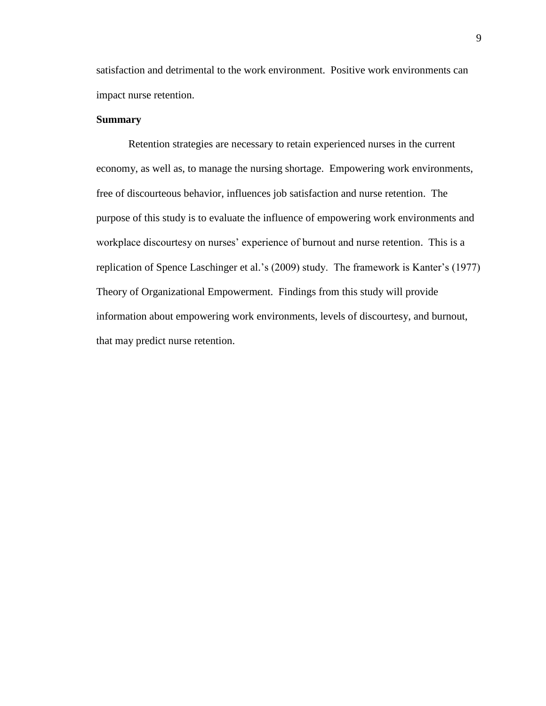satisfaction and detrimental to the work environment. Positive work environments can impact nurse retention.

### **Summary**

Retention strategies are necessary to retain experienced nurses in the current economy, as well as, to manage the nursing shortage. Empowering work environments, free of discourteous behavior, influences job satisfaction and nurse retention. The purpose of this study is to evaluate the influence of empowering work environments and workplace discourtesy on nurses' experience of burnout and nurse retention. This is a replication of Spence Laschinger et al.'s (2009) study. The framework is Kanter's (1977) Theory of Organizational Empowerment. Findings from this study will provide information about empowering work environments, levels of discourtesy, and burnout, that may predict nurse retention.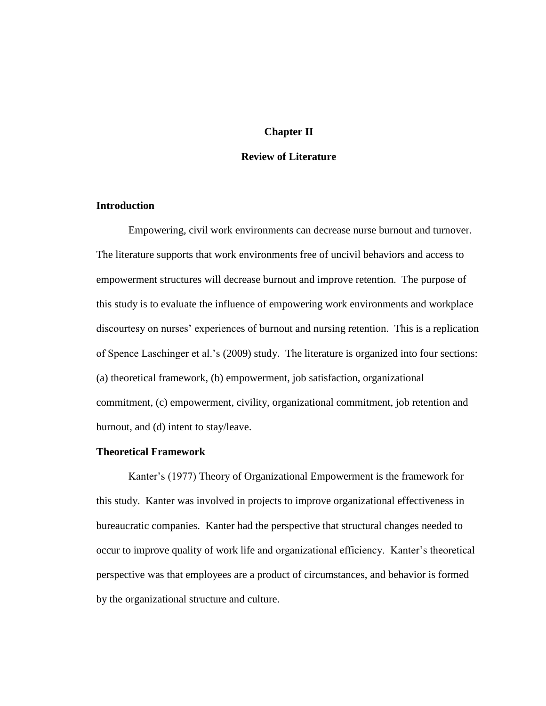### **Chapter II**

### **Review of Literature**

### **Introduction**

Empowering, civil work environments can decrease nurse burnout and turnover. The literature supports that work environments free of uncivil behaviors and access to empowerment structures will decrease burnout and improve retention. The purpose of this study is to evaluate the influence of empowering work environments and workplace discourtesy on nurses' experiences of burnout and nursing retention. This is a replication of Spence Laschinger et al.'s (2009) study. The literature is organized into four sections: (a) theoretical framework, (b) empowerment, job satisfaction, organizational commitment, (c) empowerment, civility, organizational commitment, job retention and burnout, and (d) intent to stay/leave.

### **Theoretical Framework**

Kanter's (1977) Theory of Organizational Empowerment is the framework for this study. Kanter was involved in projects to improve organizational effectiveness in bureaucratic companies. Kanter had the perspective that structural changes needed to occur to improve quality of work life and organizational efficiency. Kanter's theoretical perspective was that employees are a product of circumstances, and behavior is formed by the organizational structure and culture.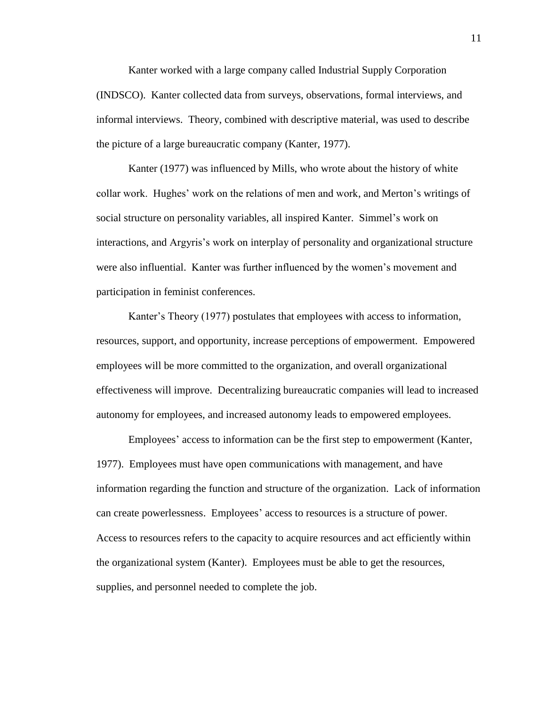Kanter worked with a large company called Industrial Supply Corporation (INDSCO). Kanter collected data from surveys, observations, formal interviews, and informal interviews. Theory, combined with descriptive material, was used to describe the picture of a large bureaucratic company (Kanter, 1977).

Kanter (1977) was influenced by Mills, who wrote about the history of white collar work. Hughes' work on the relations of men and work, and Merton's writings of social structure on personality variables, all inspired Kanter. Simmel's work on interactions, and Argyris's work on interplay of personality and organizational structure were also influential. Kanter was further influenced by the women's movement and participation in feminist conferences.

Kanter's Theory (1977) postulates that employees with access to information, resources, support, and opportunity, increase perceptions of empowerment. Empowered employees will be more committed to the organization, and overall organizational effectiveness will improve. Decentralizing bureaucratic companies will lead to increased autonomy for employees, and increased autonomy leads to empowered employees.

Employees' access to information can be the first step to empowerment (Kanter, 1977). Employees must have open communications with management, and have information regarding the function and structure of the organization. Lack of information can create powerlessness. Employees' access to resources is a structure of power. Access to resources refers to the capacity to acquire resources and act efficiently within the organizational system (Kanter). Employees must be able to get the resources, supplies, and personnel needed to complete the job.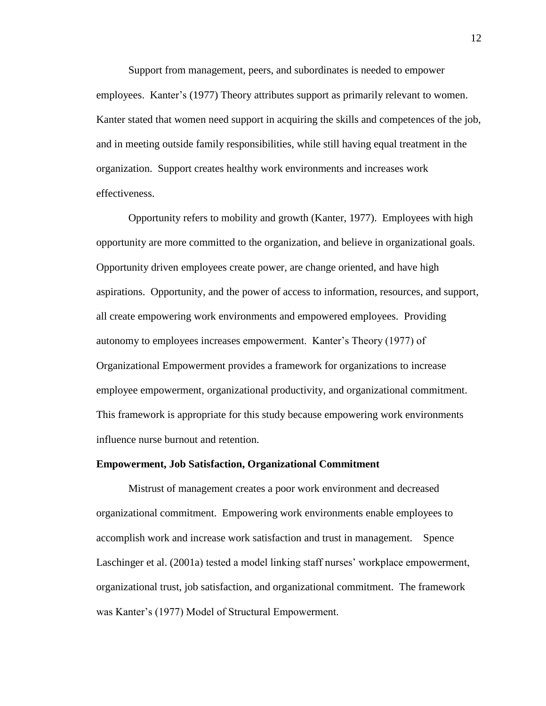Support from management, peers, and subordinates is needed to empower employees. Kanter's (1977) Theory attributes support as primarily relevant to women. Kanter stated that women need support in acquiring the skills and competences of the job, and in meeting outside family responsibilities, while still having equal treatment in the organization. Support creates healthy work environments and increases work effectiveness.

Opportunity refers to mobility and growth (Kanter, 1977). Employees with high opportunity are more committed to the organization, and believe in organizational goals. Opportunity driven employees create power, are change oriented, and have high aspirations. Opportunity, and the power of access to information, resources, and support, all create empowering work environments and empowered employees. Providing autonomy to employees increases empowerment. Kanter's Theory (1977) of Organizational Empowerment provides a framework for organizations to increase employee empowerment, organizational productivity, and organizational commitment. This framework is appropriate for this study because empowering work environments influence nurse burnout and retention.

### **Empowerment, Job Satisfaction, Organizational Commitment**

Mistrust of management creates a poor work environment and decreased organizational commitment. Empowering work environments enable employees to accomplish work and increase work satisfaction and trust in management. Spence Laschinger et al. (2001a) tested a model linking staff nurses' workplace empowerment, organizational trust, job satisfaction, and organizational commitment. The framework was Kanter's (1977) Model of Structural Empowerment.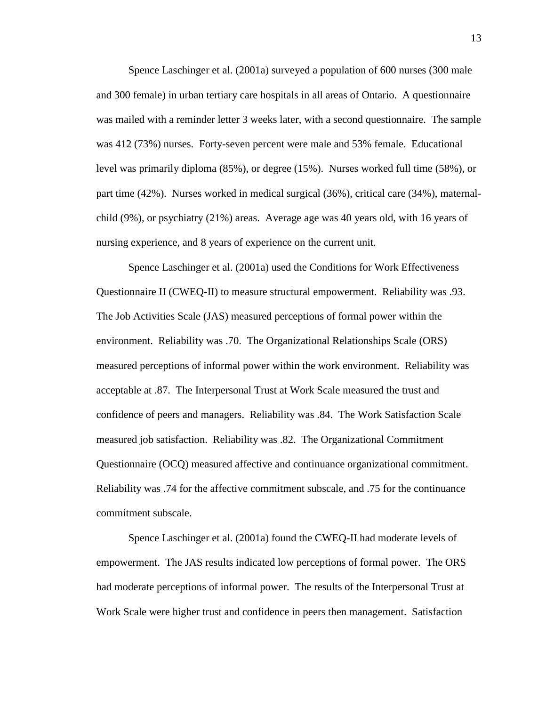Spence Laschinger et al. (2001a) surveyed a population of 600 nurses (300 male and 300 female) in urban tertiary care hospitals in all areas of Ontario. A questionnaire was mailed with a reminder letter 3 weeks later, with a second questionnaire. The sample was 412 (73%) nurses. Forty-seven percent were male and 53% female. Educational level was primarily diploma (85%), or degree (15%). Nurses worked full time (58%), or part time (42%). Nurses worked in medical surgical (36%), critical care (34%), maternalchild (9%), or psychiatry (21%) areas. Average age was 40 years old, with 16 years of nursing experience, and 8 years of experience on the current unit.

Spence Laschinger et al. (2001a) used the Conditions for Work Effectiveness Questionnaire II (CWEQ-II) to measure structural empowerment. Reliability was .93. The Job Activities Scale (JAS) measured perceptions of formal power within the environment. Reliability was .70. The Organizational Relationships Scale (ORS) measured perceptions of informal power within the work environment. Reliability was acceptable at .87. The Interpersonal Trust at Work Scale measured the trust and confidence of peers and managers. Reliability was .84. The Work Satisfaction Scale measured job satisfaction. Reliability was .82. The Organizational Commitment Questionnaire (OCQ) measured affective and continuance organizational commitment. Reliability was .74 for the affective commitment subscale, and .75 for the continuance commitment subscale.

Spence Laschinger et al. (2001a) found the CWEQ-II had moderate levels of empowerment. The JAS results indicated low perceptions of formal power. The ORS had moderate perceptions of informal power. The results of the Interpersonal Trust at Work Scale were higher trust and confidence in peers then management. Satisfaction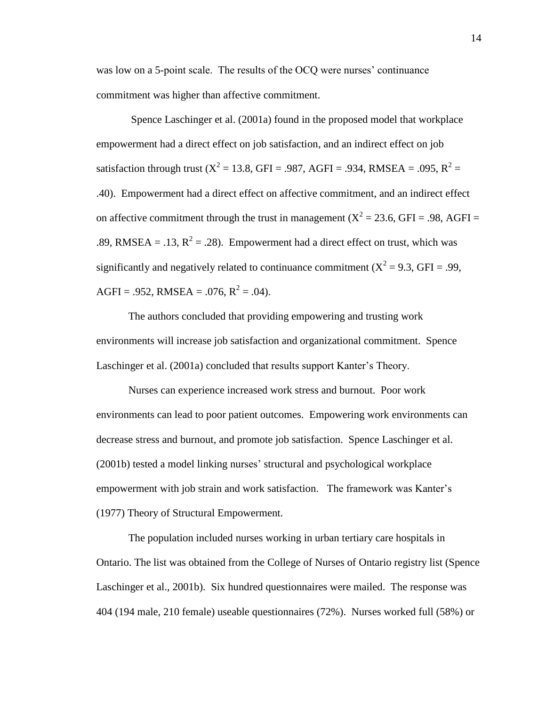was low on a 5-point scale. The results of the OCQ were nurses' continuance commitment was higher than affective commitment.

Spence Laschinger et al. (2001a) found in the proposed model that workplace empowerment had a direct effect on job satisfaction, and an indirect effect on job satisfaction through trust ( $X^2 = 13.8$ , GFI = .987, AGFI = .934, RMSEA = .095, R<sup>2</sup> = .40). Empowerment had a direct effect on affective commitment, and an indirect effect on affective commitment through the trust in management ( $X^2 = 23.6$ , GFI = .98, AGFI = .89, RMSEA = .13,  $R^2 = .28$ ). Empowerment had a direct effect on trust, which was significantly and negatively related to continuance commitment ( $X^2 = 9.3$ , GFI = .99, AGFI = .952, RMSEA = .076,  $R^2$  = .04).

The authors concluded that providing empowering and trusting work environments will increase job satisfaction and organizational commitment. Spence Laschinger et al. (2001a) concluded that results support Kanter's Theory.

Nurses can experience increased work stress and burnout. Poor work environments can lead to poor patient outcomes. Empowering work environments can decrease stress and burnout, and promote job satisfaction. Spence Laschinger et al. (2001b) tested a model linking nurses' structural and psychological workplace empowerment with job strain and work satisfaction. The framework was Kanter's (1977) Theory of Structural Empowerment.

The population included nurses working in urban tertiary care hospitals in Ontario. The list was obtained from the College of Nurses of Ontario registry list (Spence Laschinger et al., 2001b). Six hundred questionnaires were mailed. The response was 404 (194 male, 210 female) useable questionnaires (72%). Nurses worked full (58%) or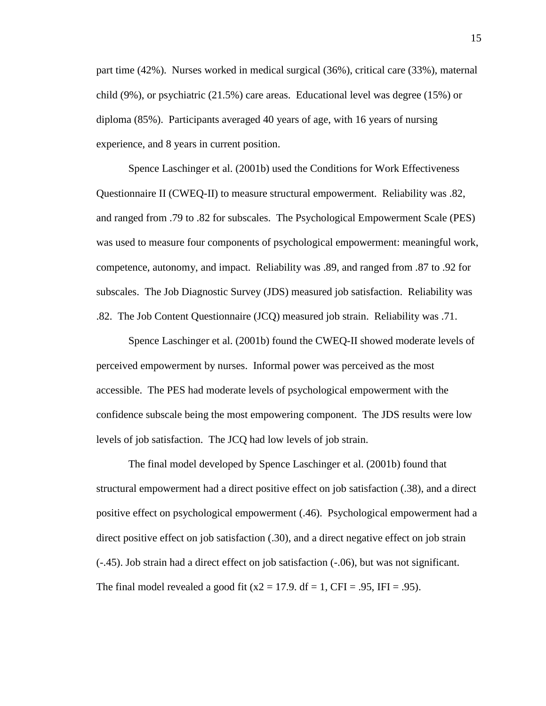part time (42%). Nurses worked in medical surgical (36%), critical care (33%), maternal child (9%), or psychiatric (21.5%) care areas. Educational level was degree (15%) or diploma (85%). Participants averaged 40 years of age, with 16 years of nursing experience, and 8 years in current position.

Spence Laschinger et al. (2001b) used the Conditions for Work Effectiveness Questionnaire II (CWEQ-II) to measure structural empowerment. Reliability was .82, and ranged from .79 to .82 for subscales. The Psychological Empowerment Scale (PES) was used to measure four components of psychological empowerment: meaningful work, competence, autonomy, and impact. Reliability was .89, and ranged from .87 to .92 for subscales. The Job Diagnostic Survey (JDS) measured job satisfaction. Reliability was .82. The Job Content Questionnaire (JCQ) measured job strain. Reliability was .71.

Spence Laschinger et al. (2001b) found the CWEQ-II showed moderate levels of perceived empowerment by nurses. Informal power was perceived as the most accessible. The PES had moderate levels of psychological empowerment with the confidence subscale being the most empowering component. The JDS results were low levels of job satisfaction. The JCQ had low levels of job strain.

The final model developed by Spence Laschinger et al. (2001b) found that structural empowerment had a direct positive effect on job satisfaction (.38), and a direct positive effect on psychological empowerment (.46). Psychological empowerment had a direct positive effect on job satisfaction (.30), and a direct negative effect on job strain (-.45). Job strain had a direct effect on job satisfaction (-.06), but was not significant. The final model revealed a good fit  $(x2 = 17.9$ . df = 1, CFI = .95, IFI = .95).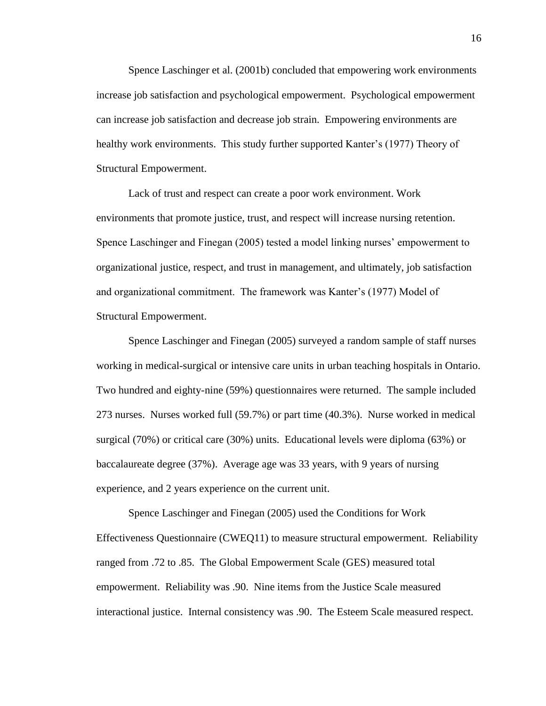Spence Laschinger et al. (2001b) concluded that empowering work environments increase job satisfaction and psychological empowerment. Psychological empowerment can increase job satisfaction and decrease job strain. Empowering environments are healthy work environments. This study further supported Kanter's (1977) Theory of Structural Empowerment.

Lack of trust and respect can create a poor work environment. Work environments that promote justice, trust, and respect will increase nursing retention. Spence Laschinger and Finegan (2005) tested a model linking nurses' empowerment to organizational justice, respect, and trust in management, and ultimately, job satisfaction and organizational commitment. The framework was Kanter's (1977) Model of Structural Empowerment.

Spence Laschinger and Finegan (2005) surveyed a random sample of staff nurses working in medical-surgical or intensive care units in urban teaching hospitals in Ontario. Two hundred and eighty-nine (59%) questionnaires were returned. The sample included 273 nurses. Nurses worked full (59.7%) or part time (40.3%). Nurse worked in medical surgical (70%) or critical care (30%) units. Educational levels were diploma (63%) or baccalaureate degree (37%). Average age was 33 years, with 9 years of nursing experience, and 2 years experience on the current unit.

Spence Laschinger and Finegan (2005) used the Conditions for Work Effectiveness Questionnaire (CWEQ11) to measure structural empowerment. Reliability ranged from .72 to .85. The Global Empowerment Scale (GES) measured total empowerment. Reliability was .90. Nine items from the Justice Scale measured interactional justice. Internal consistency was .90. The Esteem Scale measured respect.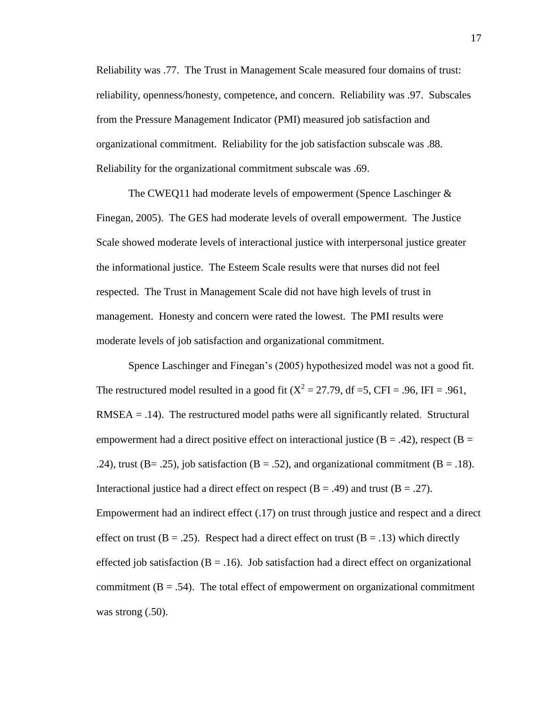Reliability was .77. The Trust in Management Scale measured four domains of trust: reliability, openness/honesty, competence, and concern. Reliability was .97. Subscales from the Pressure Management Indicator (PMI) measured job satisfaction and organizational commitment. Reliability for the job satisfaction subscale was .88. Reliability for the organizational commitment subscale was .69.

The CWEQ11 had moderate levels of empowerment (Spence Laschinger & Finegan, 2005). The GES had moderate levels of overall empowerment. The Justice Scale showed moderate levels of interactional justice with interpersonal justice greater the informational justice. The Esteem Scale results were that nurses did not feel respected. The Trust in Management Scale did not have high levels of trust in management. Honesty and concern were rated the lowest. The PMI results were moderate levels of job satisfaction and organizational commitment.

Spence Laschinger and Finegan's (2005) hypothesized model was not a good fit. The restructured model resulted in a good fit ( $X^2 = 27.79$ , df =5, CFI = .96, IFI = .961,  $RMSEA = .14$ ). The restructured model paths were all significantly related. Structural empowerment had a direct positive effect on interactional justice ( $B = .42$ ), respect ( $B =$ .24), trust (B= .25), job satisfaction (B = .52), and organizational commitment (B = .18). Interactional justice had a direct effect on respect  $(B = .49)$  and trust  $(B = .27)$ . Empowerment had an indirect effect (.17) on trust through justice and respect and a direct effect on trust ( $B = .25$ ). Respect had a direct effect on trust ( $B = .13$ ) which directly effected job satisfaction ( $B = .16$ ). Job satisfaction had a direct effect on organizational commitment  $(B = .54)$ . The total effect of empowerment on organizational commitment was strong  $(.50)$ .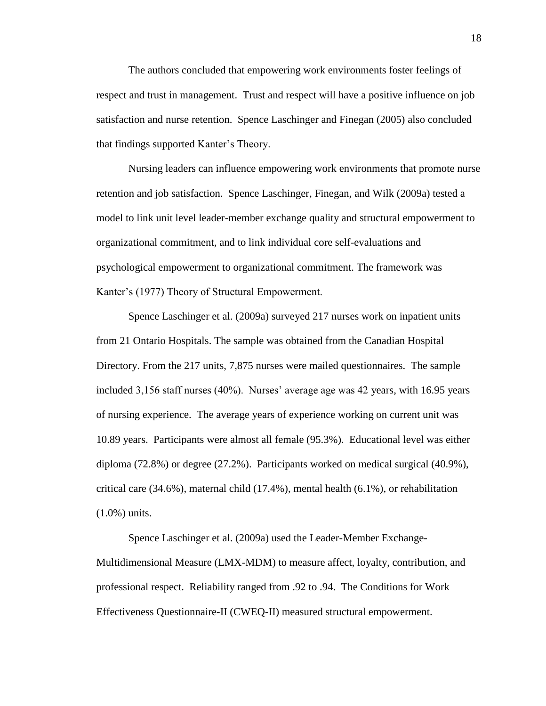The authors concluded that empowering work environments foster feelings of respect and trust in management. Trust and respect will have a positive influence on job satisfaction and nurse retention. Spence Laschinger and Finegan (2005) also concluded that findings supported Kanter's Theory.

Nursing leaders can influence empowering work environments that promote nurse retention and job satisfaction. Spence Laschinger, Finegan, and Wilk (2009a) tested a model to link unit level leader-member exchange quality and structural empowerment to organizational commitment, and to link individual core self-evaluations and psychological empowerment to organizational commitment. The framework was Kanter's (1977) Theory of Structural Empowerment.

Spence Laschinger et al. (2009a) surveyed 217 nurses work on inpatient units from 21 Ontario Hospitals. The sample was obtained from the Canadian Hospital Directory. From the 217 units, 7,875 nurses were mailed questionnaires. The sample included 3,156 staff nurses (40%). Nurses' average age was 42 years, with 16.95 years of nursing experience. The average years of experience working on current unit was 10.89 years. Participants were almost all female (95.3%). Educational level was either diploma (72.8%) or degree (27.2%). Participants worked on medical surgical (40.9%), critical care (34.6%), maternal child (17.4%), mental health (6.1%), or rehabilitation (1.0%) units.

Spence Laschinger et al. (2009a) used the Leader-Member Exchange-Multidimensional Measure (LMX-MDM) to measure affect, loyalty, contribution, and professional respect. Reliability ranged from .92 to .94. The Conditions for Work Effectiveness Questionnaire-II (CWEQ-II) measured structural empowerment.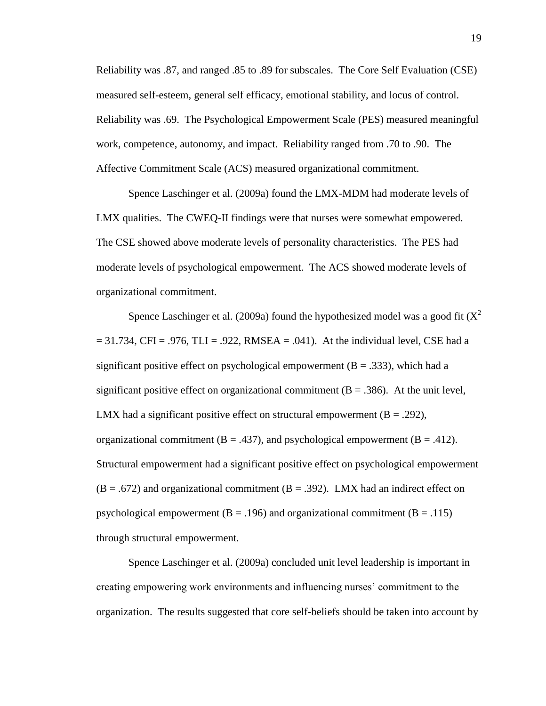Reliability was .87, and ranged .85 to .89 for subscales. The Core Self Evaluation (CSE) measured self-esteem, general self efficacy, emotional stability, and locus of control. Reliability was .69. The Psychological Empowerment Scale (PES) measured meaningful work, competence, autonomy, and impact. Reliability ranged from .70 to .90. The Affective Commitment Scale (ACS) measured organizational commitment.

Spence Laschinger et al. (2009a) found the LMX-MDM had moderate levels of LMX qualities. The CWEQ-II findings were that nurses were somewhat empowered. The CSE showed above moderate levels of personality characteristics. The PES had moderate levels of psychological empowerment. The ACS showed moderate levels of organizational commitment.

Spence Laschinger et al. (2009a) found the hypothesized model was a good fit  $(X^2)$  $= 31.734$ , CFI = .976, TLI = .922, RMSEA = .041). At the individual level, CSE had a significant positive effect on psychological empowerment ( $B = .333$ ), which had a significant positive effect on organizational commitment  $(B = .386)$ . At the unit level, LMX had a significant positive effect on structural empowerment ( $B = .292$ ), organizational commitment ( $B = .437$ ), and psychological empowerment ( $B = .412$ ). Structural empowerment had a significant positive effect on psychological empowerment  $(B = .672)$  and organizational commitment  $(B = .392)$ . LMX had an indirect effect on psychological empowerment ( $B = .196$ ) and organizational commitment ( $B = .115$ ) through structural empowerment.

Spence Laschinger et al. (2009a) concluded unit level leadership is important in creating empowering work environments and influencing nurses' commitment to the organization. The results suggested that core self-beliefs should be taken into account by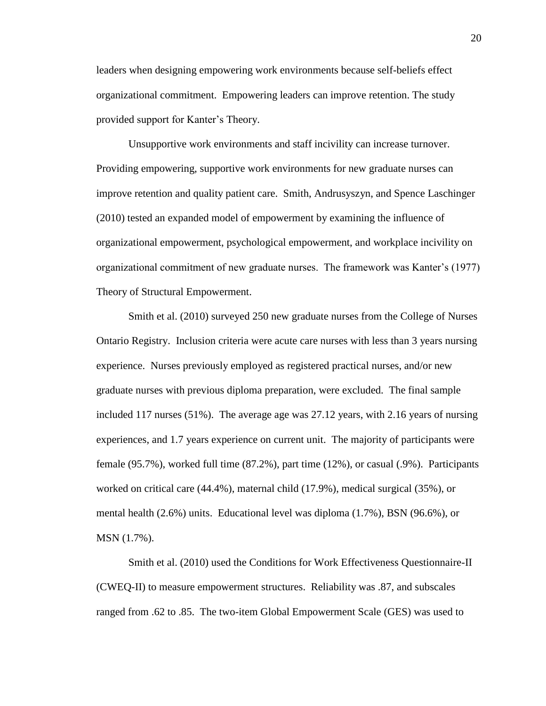leaders when designing empowering work environments because self-beliefs effect organizational commitment. Empowering leaders can improve retention. The study provided support for Kanter's Theory.

Unsupportive work environments and staff incivility can increase turnover. Providing empowering, supportive work environments for new graduate nurses can improve retention and quality patient care. Smith, Andrusyszyn, and Spence Laschinger (2010) tested an expanded model of empowerment by examining the influence of organizational empowerment, psychological empowerment, and workplace incivility on organizational commitment of new graduate nurses. The framework was Kanter's (1977) Theory of Structural Empowerment.

Smith et al. (2010) surveyed 250 new graduate nurses from the College of Nurses Ontario Registry. Inclusion criteria were acute care nurses with less than 3 years nursing experience. Nurses previously employed as registered practical nurses, and/or new graduate nurses with previous diploma preparation, were excluded. The final sample included 117 nurses (51%). The average age was 27.12 years, with 2.16 years of nursing experiences, and 1.7 years experience on current unit. The majority of participants were female (95.7%), worked full time (87.2%), part time (12%), or casual (.9%). Participants worked on critical care (44.4%), maternal child (17.9%), medical surgical (35%), or mental health (2.6%) units. Educational level was diploma (1.7%), BSN (96.6%), or MSN (1.7%).

Smith et al. (2010) used the Conditions for Work Effectiveness Questionnaire-II (CWEQ-II) to measure empowerment structures. Reliability was .87, and subscales ranged from .62 to .85. The two-item Global Empowerment Scale (GES) was used to

20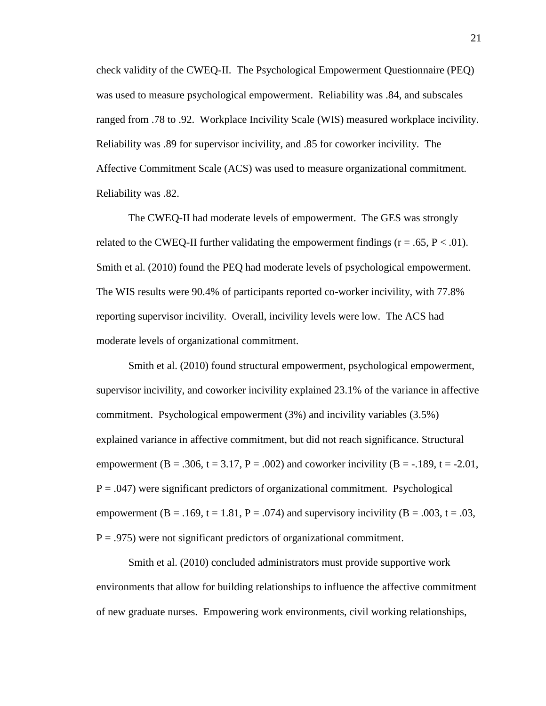check validity of the CWEQ-II. The Psychological Empowerment Questionnaire (PEQ) was used to measure psychological empowerment. Reliability was .84, and subscales ranged from .78 to .92. Workplace Incivility Scale (WIS) measured workplace incivility. Reliability was .89 for supervisor incivility, and .85 for coworker incivility. The Affective Commitment Scale (ACS) was used to measure organizational commitment. Reliability was .82.

The CWEQ-II had moderate levels of empowerment. The GES was strongly related to the CWEQ-II further validating the empowerment findings ( $r = .65$ ,  $P < .01$ ). Smith et al. (2010) found the PEQ had moderate levels of psychological empowerment. The WIS results were 90.4% of participants reported co-worker incivility, with 77.8% reporting supervisor incivility. Overall, incivility levels were low. The ACS had moderate levels of organizational commitment.

Smith et al. (2010) found structural empowerment, psychological empowerment, supervisor incivility, and coworker incivility explained 23.1% of the variance in affective commitment. Psychological empowerment (3%) and incivility variables (3.5%) explained variance in affective commitment, but did not reach significance. Structural empowerment (B = .306, t = 3.17, P = .002) and coworker incivility (B = -.189, t = -2.01,  $P = .047$ ) were significant predictors of organizational commitment. Psychological empowerment (B = .169, t = 1.81, P = .074) and supervisory incivility (B = .003, t = .03,  $P = .975$ ) were not significant predictors of organizational commitment.

Smith et al. (2010) concluded administrators must provide supportive work environments that allow for building relationships to influence the affective commitment of new graduate nurses. Empowering work environments, civil working relationships,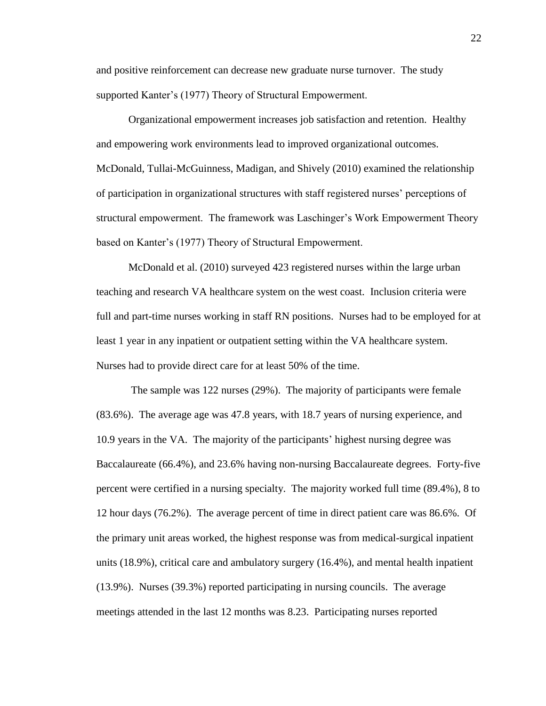and positive reinforcement can decrease new graduate nurse turnover. The study supported Kanter's (1977) Theory of Structural Empowerment.

Organizational empowerment increases job satisfaction and retention. Healthy and empowering work environments lead to improved organizational outcomes. McDonald, Tullai-McGuinness, Madigan, and Shively (2010) examined the relationship of participation in organizational structures with staff registered nurses' perceptions of structural empowerment. The framework was Laschinger's Work Empowerment Theory based on Kanter's (1977) Theory of Structural Empowerment.

McDonald et al. (2010) surveyed 423 registered nurses within the large urban teaching and research VA healthcare system on the west coast. Inclusion criteria were full and part-time nurses working in staff RN positions. Nurses had to be employed for at least 1 year in any inpatient or outpatient setting within the VA healthcare system. Nurses had to provide direct care for at least 50% of the time.

The sample was 122 nurses (29%). The majority of participants were female (83.6%). The average age was 47.8 years, with 18.7 years of nursing experience, and 10.9 years in the VA. The majority of the participants' highest nursing degree was Baccalaureate (66.4%), and 23.6% having non-nursing Baccalaureate degrees. Forty-five percent were certified in a nursing specialty. The majority worked full time (89.4%), 8 to 12 hour days (76.2%). The average percent of time in direct patient care was 86.6%. Of the primary unit areas worked, the highest response was from medical-surgical inpatient units (18.9%), critical care and ambulatory surgery (16.4%), and mental health inpatient (13.9%). Nurses (39.3%) reported participating in nursing councils. The average meetings attended in the last 12 months was 8.23. Participating nurses reported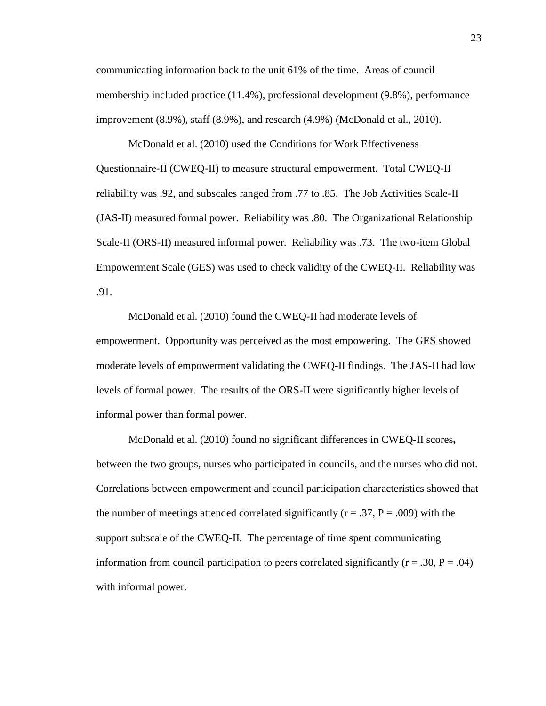communicating information back to the unit 61% of the time. Areas of council membership included practice (11.4%), professional development (9.8%), performance improvement (8.9%), staff (8.9%), and research (4.9%) (McDonald et al., 2010).

McDonald et al. (2010) used the Conditions for Work Effectiveness Questionnaire-II (CWEQ-II) to measure structural empowerment. Total CWEQ-II reliability was .92, and subscales ranged from .77 to .85. The Job Activities Scale-II (JAS-II) measured formal power. Reliability was .80. The Organizational Relationship Scale-II (ORS-II) measured informal power. Reliability was .73. The two-item Global Empowerment Scale (GES) was used to check validity of the CWEQ-II. Reliability was .91.

McDonald et al. (2010) found the CWEQ-II had moderate levels of empowerment. Opportunity was perceived as the most empowering. The GES showed moderate levels of empowerment validating the CWEQ-II findings. The JAS-II had low levels of formal power. The results of the ORS-II were significantly higher levels of informal power than formal power.

McDonald et al. (2010) found no significant differences in CWEQ-II scores**,**  between the two groups, nurses who participated in councils, and the nurses who did not. Correlations between empowerment and council participation characteristics showed that the number of meetings attended correlated significantly ( $r = .37$ ,  $P = .009$ ) with the support subscale of the CWEQ-II. The percentage of time spent communicating information from council participation to peers correlated significantly ( $r = .30$ ,  $P = .04$ ) with informal power.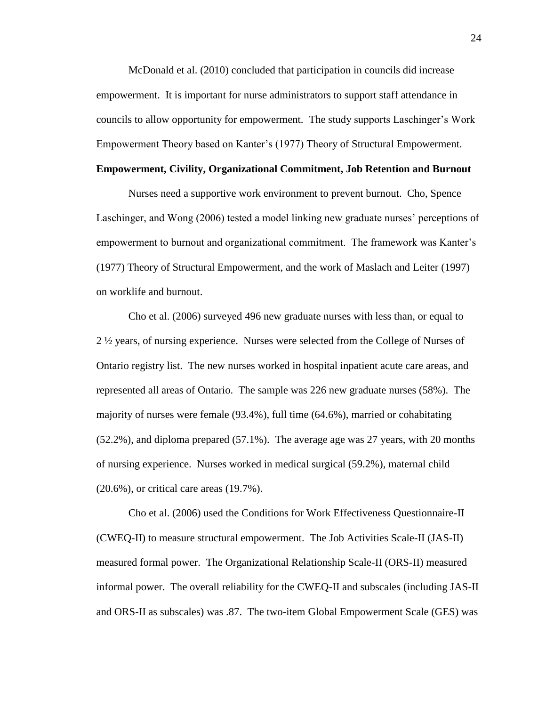McDonald et al. (2010) concluded that participation in councils did increase empowerment. It is important for nurse administrators to support staff attendance in councils to allow opportunity for empowerment. The study supports Laschinger's Work Empowerment Theory based on Kanter's (1977) Theory of Structural Empowerment.

### **Empowerment, Civility, Organizational Commitment, Job Retention and Burnout**

Nurses need a supportive work environment to prevent burnout. Cho, Spence Laschinger, and Wong (2006) tested a model linking new graduate nurses' perceptions of empowerment to burnout and organizational commitment. The framework was Kanter's (1977) Theory of Structural Empowerment, and the work of Maslach and Leiter (1997) on worklife and burnout.

Cho et al. (2006) surveyed 496 new graduate nurses with less than, or equal to 2 ½ years, of nursing experience. Nurses were selected from the College of Nurses of Ontario registry list. The new nurses worked in hospital inpatient acute care areas, and represented all areas of Ontario. The sample was 226 new graduate nurses (58%). The majority of nurses were female (93.4%), full time (64.6%), married or cohabitating (52.2%), and diploma prepared (57.1%). The average age was 27 years, with 20 months of nursing experience. Nurses worked in medical surgical (59.2%), maternal child (20.6%), or critical care areas (19.7%).

Cho et al. (2006) used the Conditions for Work Effectiveness Questionnaire-II (CWEQ-II) to measure structural empowerment. The Job Activities Scale-II (JAS-II) measured formal power. The Organizational Relationship Scale-II (ORS-II) measured informal power. The overall reliability for the CWEQ-II and subscales (including JAS-II and ORS-II as subscales) was .87. The two-item Global Empowerment Scale (GES) was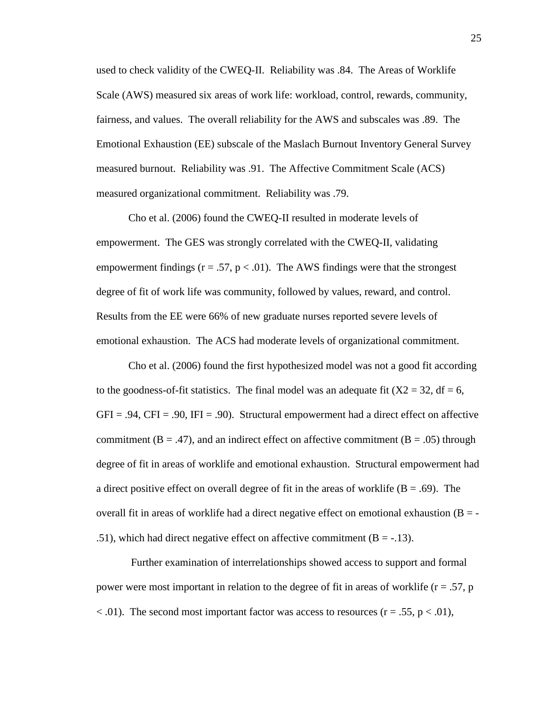used to check validity of the CWEQ-II. Reliability was .84. The Areas of Worklife Scale (AWS) measured six areas of work life: workload, control, rewards, community, fairness, and values. The overall reliability for the AWS and subscales was .89. The Emotional Exhaustion (EE) subscale of the Maslach Burnout Inventory General Survey measured burnout. Reliability was .91. The Affective Commitment Scale (ACS) measured organizational commitment. Reliability was .79.

Cho et al. (2006) found the CWEQ-II resulted in moderate levels of empowerment. The GES was strongly correlated with the CWEQ-II, validating empowerment findings ( $r = .57$ ,  $p < .01$ ). The AWS findings were that the strongest degree of fit of work life was community, followed by values, reward, and control. Results from the EE were 66% of new graduate nurses reported severe levels of emotional exhaustion. The ACS had moderate levels of organizational commitment.

Cho et al. (2006) found the first hypothesized model was not a good fit according to the goodness-of-fit statistics. The final model was an adequate fit  $(X2 = 32, df = 6,$  $GFI = .94$ ,  $CFI = .90$ ,  $IFI = .90$ ). Structural empowerment had a direct effect on affective commitment ( $B = .47$ ), and an indirect effect on affective commitment ( $B = .05$ ) through degree of fit in areas of worklife and emotional exhaustion. Structural empowerment had a direct positive effect on overall degree of fit in the areas of worklife  $(B = .69)$ . The overall fit in areas of worklife had a direct negative effect on emotional exhaustion  $(B = -1)$ .51), which had direct negative effect on affective commitment  $(B = -13)$ .

Further examination of interrelationships showed access to support and formal power were most important in relation to the degree of fit in areas of worklife  $(r = .57, p$  $<$  0.01). The second most important factor was access to resources (r = .55, p  $<$  0.01),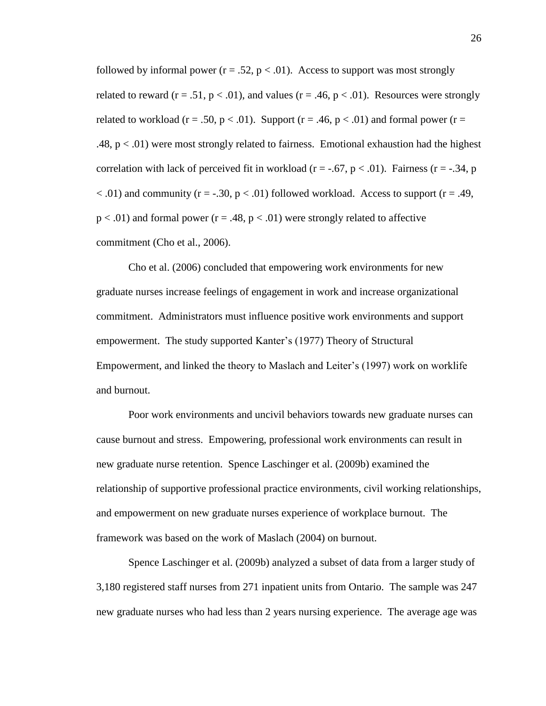followed by informal power  $(r = .52, p < .01)$ . Access to support was most strongly related to reward ( $r = .51$ ,  $p < .01$ ), and values ( $r = .46$ ,  $p < .01$ ). Resources were strongly related to workload ( $r = .50$ ,  $p < .01$ ). Support ( $r = .46$ ,  $p < .01$ ) and formal power ( $r =$ .48,  $p < .01$ ) were most strongly related to fairness. Emotional exhaustion had the highest correlation with lack of perceived fit in workload ( $r = -.67$ ,  $p < .01$ ). Fairness ( $r = -.34$ , p  $<$  0.01) and community (r = -.30, p  $<$  0.01) followed workload. Access to support (r = .49,  $p < .01$ ) and formal power ( $r = .48$ ,  $p < .01$ ) were strongly related to affective commitment (Cho et al., 2006).

Cho et al. (2006) concluded that empowering work environments for new graduate nurses increase feelings of engagement in work and increase organizational commitment. Administrators must influence positive work environments and support empowerment. The study supported Kanter's (1977) Theory of Structural Empowerment, and linked the theory to Maslach and Leiter's (1997) work on worklife and burnout.

Poor work environments and uncivil behaviors towards new graduate nurses can cause burnout and stress. Empowering, professional work environments can result in new graduate nurse retention. Spence Laschinger et al. (2009b) examined the relationship of supportive professional practice environments, civil working relationships, and empowerment on new graduate nurses experience of workplace burnout. The framework was based on the work of Maslach (2004) on burnout.

Spence Laschinger et al. (2009b) analyzed a subset of data from a larger study of 3,180 registered staff nurses from 271 inpatient units from Ontario. The sample was 247 new graduate nurses who had less than 2 years nursing experience. The average age was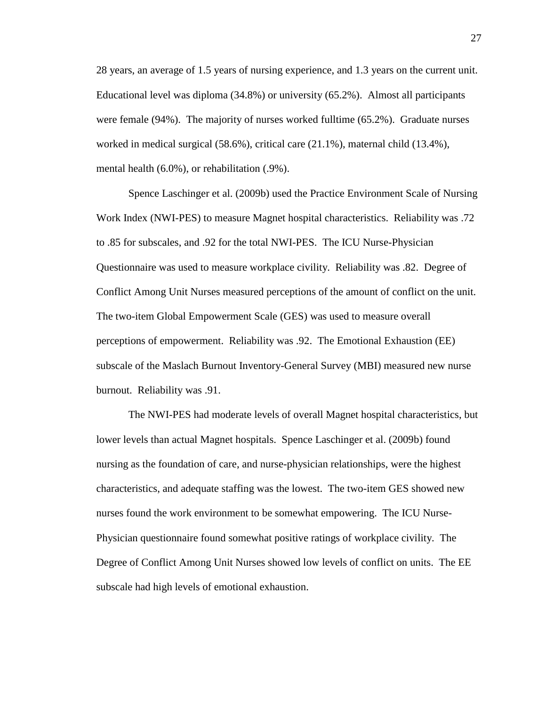28 years, an average of 1.5 years of nursing experience, and 1.3 years on the current unit. Educational level was diploma (34.8%) or university (65.2%). Almost all participants were female (94%). The majority of nurses worked fulltime (65.2%). Graduate nurses worked in medical surgical (58.6%), critical care (21.1%), maternal child (13.4%), mental health (6.0%), or rehabilitation (.9%).

Spence Laschinger et al. (2009b) used the Practice Environment Scale of Nursing Work Index (NWI-PES) to measure Magnet hospital characteristics. Reliability was .72 to .85 for subscales, and .92 for the total NWI-PES. The ICU Nurse-Physician Questionnaire was used to measure workplace civility. Reliability was .82. Degree of Conflict Among Unit Nurses measured perceptions of the amount of conflict on the unit. The two-item Global Empowerment Scale (GES) was used to measure overall perceptions of empowerment. Reliability was .92. The Emotional Exhaustion (EE) subscale of the Maslach Burnout Inventory-General Survey (MBI) measured new nurse burnout. Reliability was .91.

The NWI-PES had moderate levels of overall Magnet hospital characteristics, but lower levels than actual Magnet hospitals. Spence Laschinger et al. (2009b) found nursing as the foundation of care, and nurse-physician relationships, were the highest characteristics, and adequate staffing was the lowest. The two-item GES showed new nurses found the work environment to be somewhat empowering. The ICU Nurse-Physician questionnaire found somewhat positive ratings of workplace civility. The Degree of Conflict Among Unit Nurses showed low levels of conflict on units. The EE subscale had high levels of emotional exhaustion.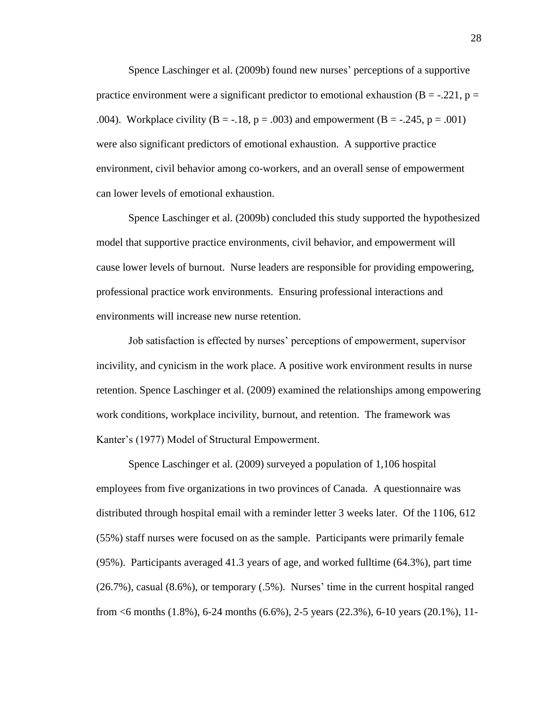Spence Laschinger et al. (2009b) found new nurses' perceptions of a supportive practice environment were a significant predictor to emotional exhaustion ( $B = -.221$ ,  $p =$ .004). Workplace civility  $(B = -18, p = .003)$  and empowerment  $(B = -0.245, p = .001)$ were also significant predictors of emotional exhaustion. A supportive practice environment, civil behavior among co-workers, and an overall sense of empowerment can lower levels of emotional exhaustion.

Spence Laschinger et al. (2009b) concluded this study supported the hypothesized model that supportive practice environments, civil behavior, and empowerment will cause lower levels of burnout. Nurse leaders are responsible for providing empowering, professional practice work environments. Ensuring professional interactions and environments will increase new nurse retention.

Job satisfaction is effected by nurses' perceptions of empowerment, supervisor incivility, and cynicism in the work place. A positive work environment results in nurse retention. Spence Laschinger et al. (2009) examined the relationships among empowering work conditions, workplace incivility, burnout, and retention. The framework was Kanter's (1977) Model of Structural Empowerment.

Spence Laschinger et al. (2009) surveyed a population of 1,106 hospital employees from five organizations in two provinces of Canada. A questionnaire was distributed through hospital email with a reminder letter 3 weeks later. Of the 1106, 612 (55%) staff nurses were focused on as the sample. Participants were primarily female (95%). Participants averaged 41.3 years of age, and worked fulltime (64.3%), part time (26.7%), casual (8.6%), or temporary (.5%). Nurses' time in the current hospital ranged from <6 months (1.8%), 6-24 months (6.6%), 2-5 years (22.3%), 6-10 years (20.1%), 11-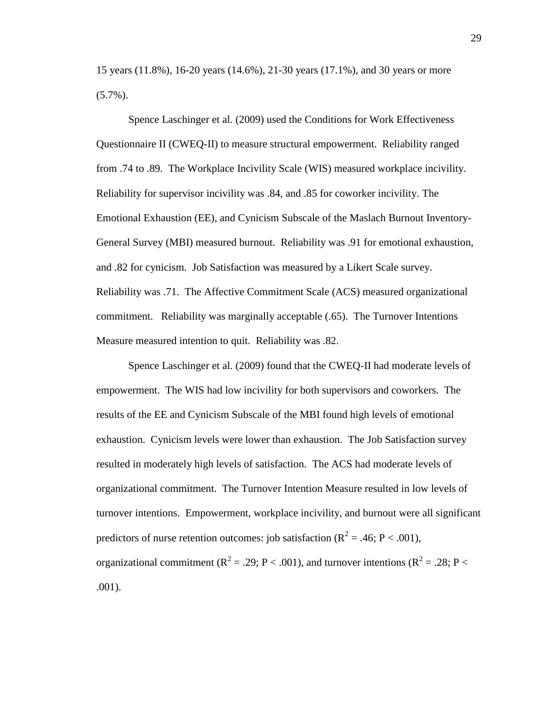15 years (11.8%), 16-20 years (14.6%), 21-30 years (17.1%), and 30 years or more  $(5.7\%)$ .

Spence Laschinger et al. (2009) used the Conditions for Work Effectiveness Questionnaire II (CWEQ-II) to measure structural empowerment. Reliability ranged from .74 to .89. The Workplace Incivility Scale (WIS) measured workplace incivility. Reliability for supervisor incivility was .84, and .85 for coworker incivility. The Emotional Exhaustion (EE), and Cynicism Subscale of the Maslach Burnout Inventory-General Survey (MBI) measured burnout. Reliability was .91 for emotional exhaustion, and .82 for cynicism. Job Satisfaction was measured by a Likert Scale survey. Reliability was .71. The Affective Commitment Scale (ACS) measured organizational commitment. Reliability was marginally acceptable (.65). The Turnover Intentions Measure measured intention to quit. Reliability was .82.

Spence Laschinger et al. (2009) found that the CWEQ-II had moderate levels of empowerment. The WIS had low incivility for both supervisors and coworkers. The results of the EE and Cynicism Subscale of the MBI found high levels of emotional exhaustion. Cynicism levels were lower than exhaustion. The Job Satisfaction survey resulted in moderately high levels of satisfaction. The ACS had moderate levels of organizational commitment. The Turnover Intention Measure resulted in low levels of turnover intentions. Empowerment, workplace incivility, and burnout were all significant predictors of nurse retention outcomes: job satisfaction ( $\mathbb{R}^2 = .46$ ;  $\mathbb{P} < .001$ ), organizational commitment ( $R^2 = .29$ ; P < .001), and turnover intentions ( $R^2 = .28$ ; P < .001).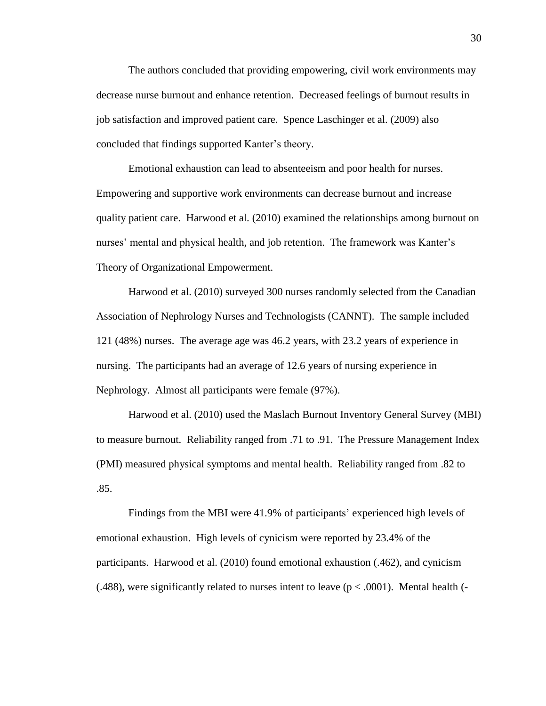The authors concluded that providing empowering, civil work environments may decrease nurse burnout and enhance retention. Decreased feelings of burnout results in job satisfaction and improved patient care. Spence Laschinger et al. (2009) also concluded that findings supported Kanter's theory.

Emotional exhaustion can lead to absenteeism and poor health for nurses. Empowering and supportive work environments can decrease burnout and increase quality patient care. Harwood et al. (2010) examined the relationships among burnout on nurses' mental and physical health, and job retention. The framework was Kanter's Theory of Organizational Empowerment.

Harwood et al. (2010) surveyed 300 nurses randomly selected from the Canadian Association of Nephrology Nurses and Technologists (CANNT). The sample included 121 (48%) nurses. The average age was 46.2 years, with 23.2 years of experience in nursing. The participants had an average of 12.6 years of nursing experience in Nephrology. Almost all participants were female (97%).

Harwood et al. (2010) used the Maslach Burnout Inventory General Survey (MBI) to measure burnout. Reliability ranged from .71 to .91. The Pressure Management Index (PMI) measured physical symptoms and mental health. Reliability ranged from .82 to .85.

Findings from the MBI were 41.9% of participants' experienced high levels of emotional exhaustion. High levels of cynicism were reported by 23.4% of the participants. Harwood et al. (2010) found emotional exhaustion (.462), and cynicism (.488), were significantly related to nurses intent to leave ( $p < .0001$ ). Mental health (-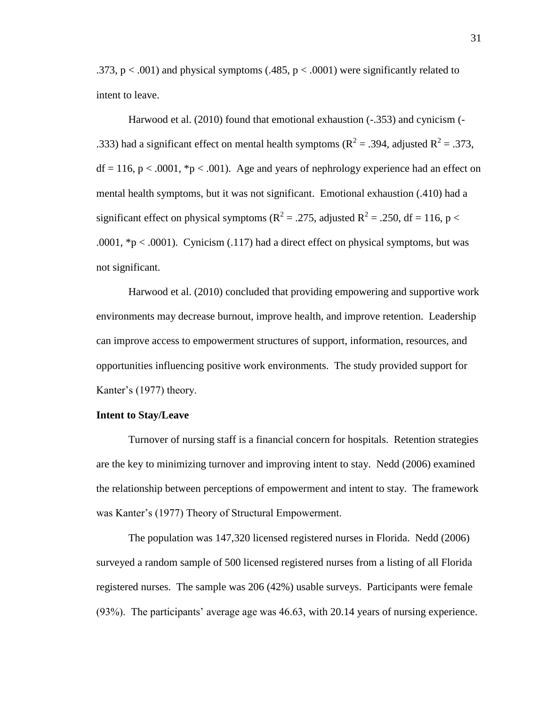.373,  $p < .001$ ) and physical symptoms (.485,  $p < .0001$ ) were significantly related to intent to leave.

Harwood et al. (2010) found that emotional exhaustion (-.353) and cynicism (- .333) had a significant effect on mental health symptoms ( $R^2 = .394$ , adjusted  $R^2 = .373$ ,  $df = 116$ ,  $p < .0001$ ,  $p < .001$ ). Age and years of nephrology experience had an effect on mental health symptoms, but it was not significant. Emotional exhaustion (.410) had a significant effect on physical symptoms ( $R^2 = .275$ , adjusted  $R^2 = .250$ , df = 116, p < .0001,  $p < .0001$ . Cynicism (.117) had a direct effect on physical symptoms, but was not significant.

Harwood et al. (2010) concluded that providing empowering and supportive work environments may decrease burnout, improve health, and improve retention. Leadership can improve access to empowerment structures of support, information, resources, and opportunities influencing positive work environments. The study provided support for Kanter's (1977) theory.

### **Intent to Stay/Leave**

Turnover of nursing staff is a financial concern for hospitals. Retention strategies are the key to minimizing turnover and improving intent to stay. Nedd (2006) examined the relationship between perceptions of empowerment and intent to stay. The framework was Kanter's (1977) Theory of Structural Empowerment.

The population was 147,320 licensed registered nurses in Florida. Nedd (2006) surveyed a random sample of 500 licensed registered nurses from a listing of all Florida registered nurses. The sample was 206 (42%) usable surveys. Participants were female (93%). The participants' average age was 46.63, with 20.14 years of nursing experience.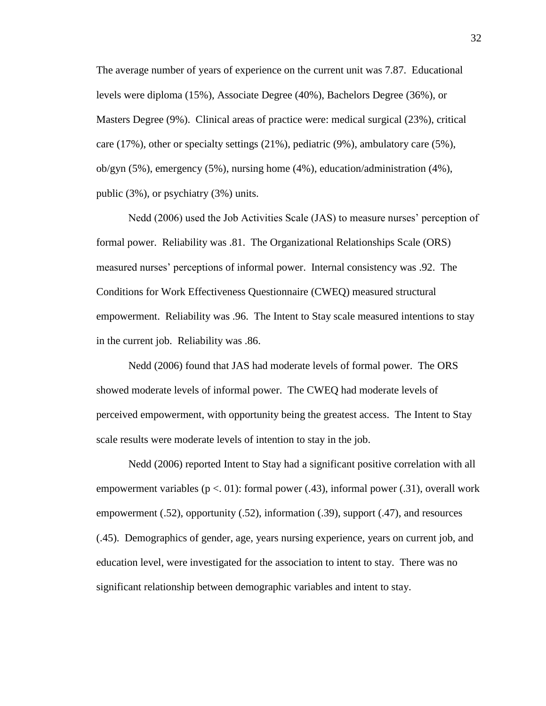The average number of years of experience on the current unit was 7.87. Educational levels were diploma (15%), Associate Degree (40%), Bachelors Degree (36%), or Masters Degree (9%). Clinical areas of practice were: medical surgical (23%), critical care (17%), other or specialty settings (21%), pediatric (9%), ambulatory care (5%), ob/gyn (5%), emergency (5%), nursing home (4%), education/administration (4%), public (3%), or psychiatry (3%) units.

Nedd (2006) used the Job Activities Scale (JAS) to measure nurses' perception of formal power. Reliability was .81. The Organizational Relationships Scale (ORS) measured nurses' perceptions of informal power. Internal consistency was .92. The Conditions for Work Effectiveness Questionnaire (CWEQ) measured structural empowerment. Reliability was .96. The Intent to Stay scale measured intentions to stay in the current job. Reliability was .86.

Nedd (2006) found that JAS had moderate levels of formal power. The ORS showed moderate levels of informal power. The CWEQ had moderate levels of perceived empowerment, with opportunity being the greatest access. The Intent to Stay scale results were moderate levels of intention to stay in the job.

Nedd (2006) reported Intent to Stay had a significant positive correlation with all empowerment variables ( $p < 01$ ): formal power (.43), informal power (.31), overall work empowerment (.52), opportunity (.52), information (.39), support (.47), and resources (.45). Demographics of gender, age, years nursing experience, years on current job, and education level, were investigated for the association to intent to stay. There was no significant relationship between demographic variables and intent to stay.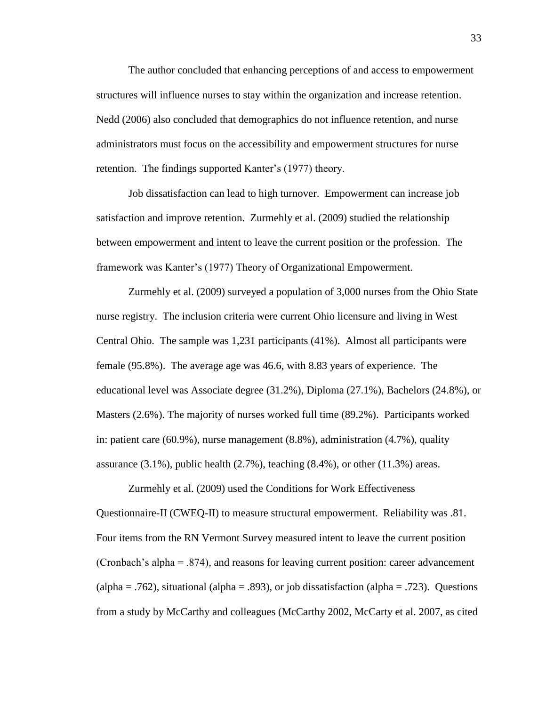The author concluded that enhancing perceptions of and access to empowerment structures will influence nurses to stay within the organization and increase retention. Nedd (2006) also concluded that demographics do not influence retention, and nurse administrators must focus on the accessibility and empowerment structures for nurse retention. The findings supported Kanter's (1977) theory.

Job dissatisfaction can lead to high turnover. Empowerment can increase job satisfaction and improve retention. Zurmehly et al. (2009) studied the relationship between empowerment and intent to leave the current position or the profession. The framework was Kanter's (1977) Theory of Organizational Empowerment.

Zurmehly et al. (2009) surveyed a population of 3,000 nurses from the Ohio State nurse registry. The inclusion criteria were current Ohio licensure and living in West Central Ohio. The sample was 1,231 participants (41%). Almost all participants were female (95.8%). The average age was 46.6, with 8.83 years of experience. The educational level was Associate degree (31.2%), Diploma (27.1%), Bachelors (24.8%), or Masters (2.6%). The majority of nurses worked full time (89.2%). Participants worked in: patient care (60.9%), nurse management (8.8%), administration (4.7%), quality assurance  $(3.1\%)$ , public health  $(2.7\%)$ , teaching  $(8.4\%)$ , or other  $(11.3\%)$  areas.

Zurmehly et al. (2009) used the Conditions for Work Effectiveness Questionnaire-II (CWEQ-II) to measure structural empowerment. Reliability was .81. Four items from the RN Vermont Survey measured intent to leave the current position (Cronbach's alpha = .874), and reasons for leaving current position: career advancement (alpha = .762), situational (alpha = .893), or job dissatisfaction (alpha = .723). Questions from a study by McCarthy and colleagues (McCarthy 2002, McCarty et al. 2007, as cited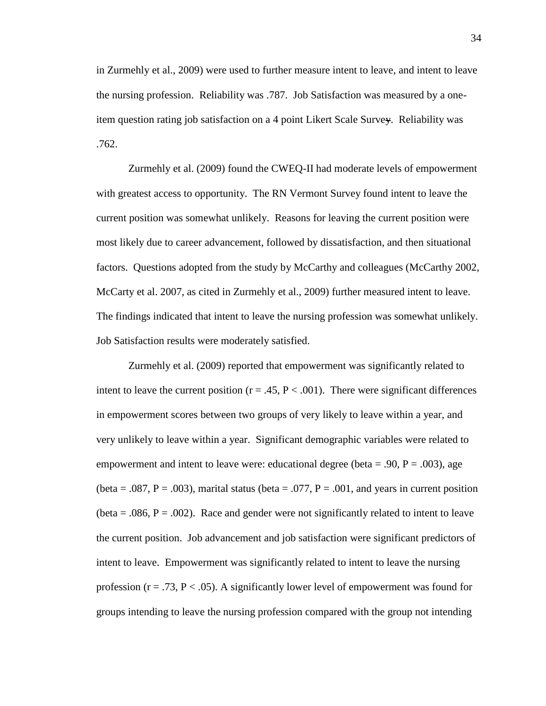in Zurmehly et al., 2009) were used to further measure intent to leave, and intent to leave the nursing profession. Reliability was .787. Job Satisfaction was measured by a oneitem question rating job satisfaction on a 4 point Likert Scale Survey. Reliability was .762.

Zurmehly et al. (2009) found the CWEQ-II had moderate levels of empowerment with greatest access to opportunity. The RN Vermont Survey found intent to leave the current position was somewhat unlikely. Reasons for leaving the current position were most likely due to career advancement, followed by dissatisfaction, and then situational factors. Questions adopted from the study by McCarthy and colleagues (McCarthy 2002, McCarty et al. 2007, as cited in Zurmehly et al., 2009) further measured intent to leave. The findings indicated that intent to leave the nursing profession was somewhat unlikely. Job Satisfaction results were moderately satisfied.

Zurmehly et al. (2009) reported that empowerment was significantly related to intent to leave the current position ( $r = .45$ ,  $P < .001$ ). There were significant differences in empowerment scores between two groups of very likely to leave within a year, and very unlikely to leave within a year. Significant demographic variables were related to empowerment and intent to leave were: educational degree (beta = .90,  $P = .003$ ), age (beta =  $.087$ , P =  $.003$ ), marital status (beta =  $.077$ , P =  $.001$ , and years in current position (beta  $= .086$ ,  $P = .002$ ). Race and gender were not significantly related to intent to leave the current position. Job advancement and job satisfaction were significant predictors of intent to leave. Empowerment was significantly related to intent to leave the nursing profession ( $r = .73$ ,  $P < .05$ ). A significantly lower level of empowerment was found for groups intending to leave the nursing profession compared with the group not intending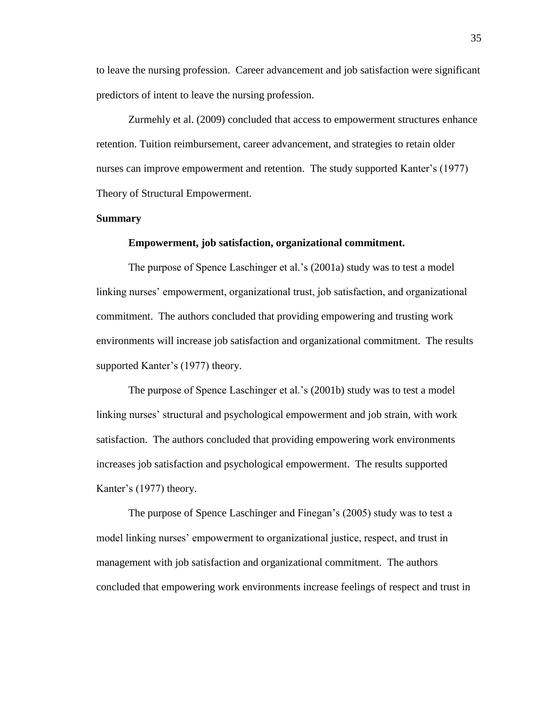to leave the nursing profession. Career advancement and job satisfaction were significant predictors of intent to leave the nursing profession.

Zurmehly et al. (2009) concluded that access to empowerment structures enhance retention. Tuition reimbursement, career advancement, and strategies to retain older nurses can improve empowerment and retention. The study supported Kanter's (1977) Theory of Structural Empowerment.

#### **Summary**

#### **Empowerment, job satisfaction, organizational commitment.**

The purpose of Spence Laschinger et al.'s (2001a) study was to test a model linking nurses' empowerment, organizational trust, job satisfaction, and organizational commitment. The authors concluded that providing empowering and trusting work environments will increase job satisfaction and organizational commitment. The results supported Kanter's (1977) theory.

The purpose of Spence Laschinger et al.'s (2001b) study was to test a model linking nurses' structural and psychological empowerment and job strain, with work satisfaction. The authors concluded that providing empowering work environments increases job satisfaction and psychological empowerment. The results supported Kanter's (1977) theory.

The purpose of Spence Laschinger and Finegan's (2005) study was to test a model linking nurses' empowerment to organizational justice, respect, and trust in management with job satisfaction and organizational commitment. The authors concluded that empowering work environments increase feelings of respect and trust in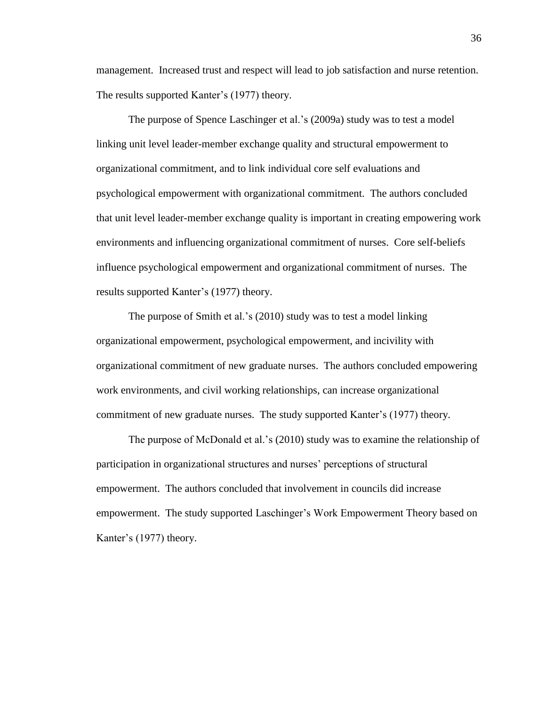management. Increased trust and respect will lead to job satisfaction and nurse retention. The results supported Kanter's (1977) theory.

The purpose of Spence Laschinger et al.'s (2009a) study was to test a model linking unit level leader-member exchange quality and structural empowerment to organizational commitment, and to link individual core self evaluations and psychological empowerment with organizational commitment. The authors concluded that unit level leader-member exchange quality is important in creating empowering work environments and influencing organizational commitment of nurses. Core self-beliefs influence psychological empowerment and organizational commitment of nurses. The results supported Kanter's (1977) theory.

The purpose of Smith et al.'s (2010) study was to test a model linking organizational empowerment, psychological empowerment, and incivility with organizational commitment of new graduate nurses. The authors concluded empowering work environments, and civil working relationships, can increase organizational commitment of new graduate nurses. The study supported Kanter's (1977) theory.

The purpose of McDonald et al.'s (2010) study was to examine the relationship of participation in organizational structures and nurses' perceptions of structural empowerment. The authors concluded that involvement in councils did increase empowerment. The study supported Laschinger's Work Empowerment Theory based on Kanter's (1977) theory.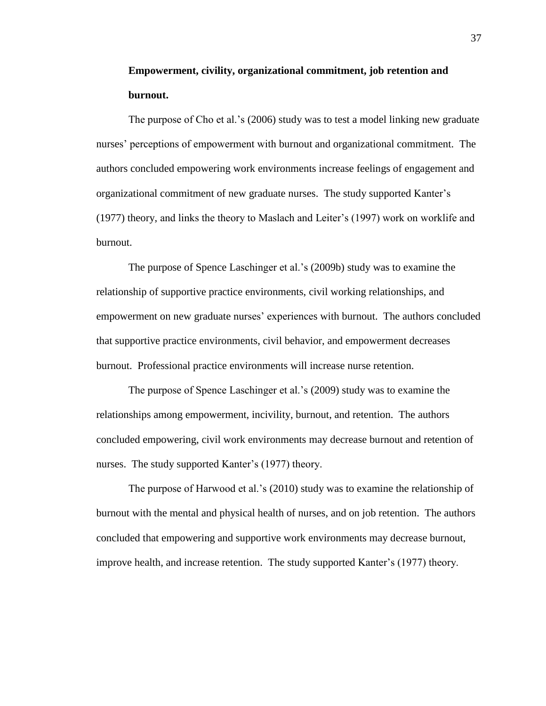# **Empowerment, civility, organizational commitment, job retention and burnout.**

The purpose of Cho et al.'s (2006) study was to test a model linking new graduate nurses' perceptions of empowerment with burnout and organizational commitment. The authors concluded empowering work environments increase feelings of engagement and organizational commitment of new graduate nurses. The study supported Kanter's (1977) theory, and links the theory to Maslach and Leiter's (1997) work on worklife and burnout.

The purpose of Spence Laschinger et al.'s (2009b) study was to examine the relationship of supportive practice environments, civil working relationships, and empowerment on new graduate nurses' experiences with burnout. The authors concluded that supportive practice environments, civil behavior, and empowerment decreases burnout. Professional practice environments will increase nurse retention.

The purpose of Spence Laschinger et al.'s (2009) study was to examine the relationships among empowerment, incivility, burnout, and retention. The authors concluded empowering, civil work environments may decrease burnout and retention of nurses. The study supported Kanter's (1977) theory.

The purpose of Harwood et al.'s (2010) study was to examine the relationship of burnout with the mental and physical health of nurses, and on job retention. The authors concluded that empowering and supportive work environments may decrease burnout, improve health, and increase retention. The study supported Kanter's (1977) theory.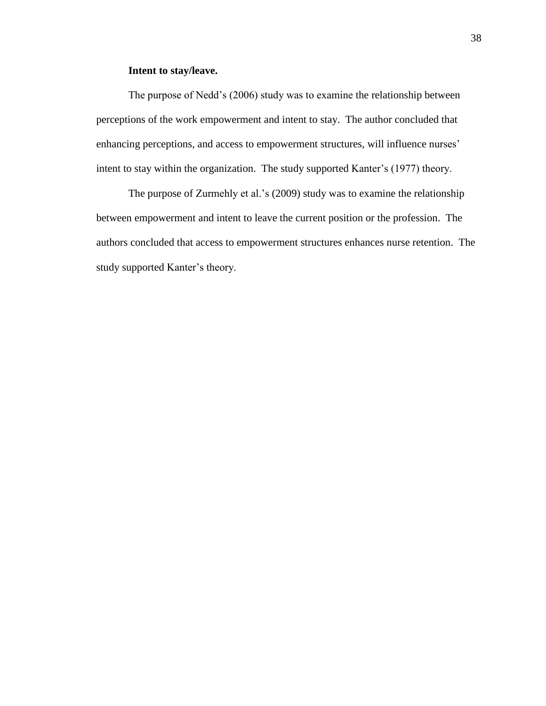### **Intent to stay/leave.**

The purpose of Nedd's (2006) study was to examine the relationship between perceptions of the work empowerment and intent to stay. The author concluded that enhancing perceptions, and access to empowerment structures, will influence nurses' intent to stay within the organization. The study supported Kanter's (1977) theory.

The purpose of Zurmehly et al.'s (2009) study was to examine the relationship between empowerment and intent to leave the current position or the profession. The authors concluded that access to empowerment structures enhances nurse retention. The study supported Kanter's theory.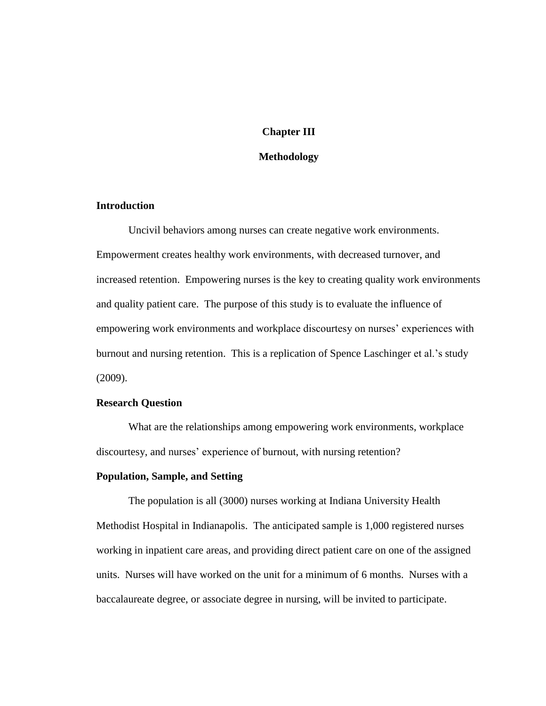### **Chapter III**

### **Methodology**

### **Introduction**

Uncivil behaviors among nurses can create negative work environments. Empowerment creates healthy work environments, with decreased turnover, and increased retention. Empowering nurses is the key to creating quality work environments and quality patient care. The purpose of this study is to evaluate the influence of empowering work environments and workplace discourtesy on nurses' experiences with burnout and nursing retention. This is a replication of Spence Laschinger et al.'s study (2009).

### **Research Question**

 What are the relationships among empowering work environments, workplace discourtesy, and nurses' experience of burnout, with nursing retention?

### **Population, Sample, and Setting**

The population is all (3000) nurses working at Indiana University Health Methodist Hospital in Indianapolis. The anticipated sample is 1,000 registered nurses working in inpatient care areas, and providing direct patient care on one of the assigned units. Nurses will have worked on the unit for a minimum of 6 months. Nurses with a baccalaureate degree, or associate degree in nursing, will be invited to participate.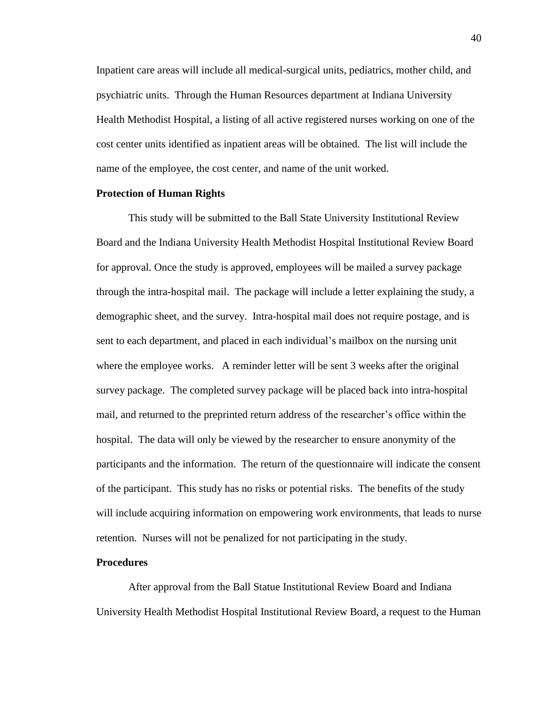Inpatient care areas will include all medical-surgical units, pediatrics, mother child, and psychiatric units. Through the Human Resources department at Indiana University Health Methodist Hospital, a listing of all active registered nurses working on one of the cost center units identified as inpatient areas will be obtained. The list will include the name of the employee, the cost center, and name of the unit worked.

### **Protection of Human Rights**

This study will be submitted to the Ball State University Institutional Review Board and the Indiana University Health Methodist Hospital Institutional Review Board for approval. Once the study is approved, employees will be mailed a survey package through the intra-hospital mail. The package will include a letter explaining the study, a demographic sheet, and the survey. Intra-hospital mail does not require postage, and is sent to each department, and placed in each individual's mailbox on the nursing unit where the employee works. A reminder letter will be sent 3 weeks after the original survey package. The completed survey package will be placed back into intra-hospital mail, and returned to the preprinted return address of the researcher's office within the hospital. The data will only be viewed by the researcher to ensure anonymity of the participants and the information. The return of the questionnaire will indicate the consent of the participant. This study has no risks or potential risks. The benefits of the study will include acquiring information on empowering work environments, that leads to nurse retention. Nurses will not be penalized for not participating in the study.

### **Procedures**

After approval from the Ball Statue Institutional Review Board and Indiana University Health Methodist Hospital Institutional Review Board, a request to the Human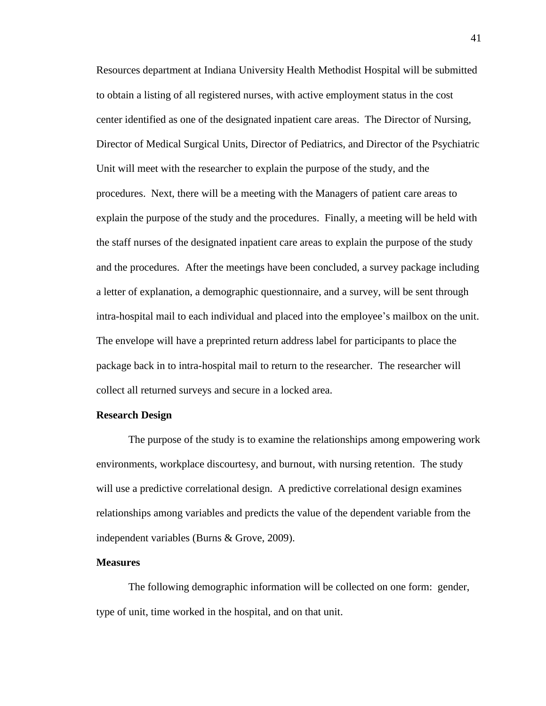Resources department at Indiana University Health Methodist Hospital will be submitted to obtain a listing of all registered nurses, with active employment status in the cost center identified as one of the designated inpatient care areas. The Director of Nursing, Director of Medical Surgical Units, Director of Pediatrics, and Director of the Psychiatric Unit will meet with the researcher to explain the purpose of the study, and the procedures. Next, there will be a meeting with the Managers of patient care areas to explain the purpose of the study and the procedures. Finally, a meeting will be held with the staff nurses of the designated inpatient care areas to explain the purpose of the study and the procedures. After the meetings have been concluded, a survey package including a letter of explanation, a demographic questionnaire, and a survey, will be sent through intra-hospital mail to each individual and placed into the employee's mailbox on the unit. The envelope will have a preprinted return address label for participants to place the package back in to intra-hospital mail to return to the researcher. The researcher will collect all returned surveys and secure in a locked area.

### **Research Design**

The purpose of the study is to examine the relationships among empowering work environments, workplace discourtesy, and burnout, with nursing retention. The study will use a predictive correlational design. A predictive correlational design examines relationships among variables and predicts the value of the dependent variable from the independent variables (Burns & Grove, 2009).

### **Measures**

The following demographic information will be collected on one form: gender, type of unit, time worked in the hospital, and on that unit.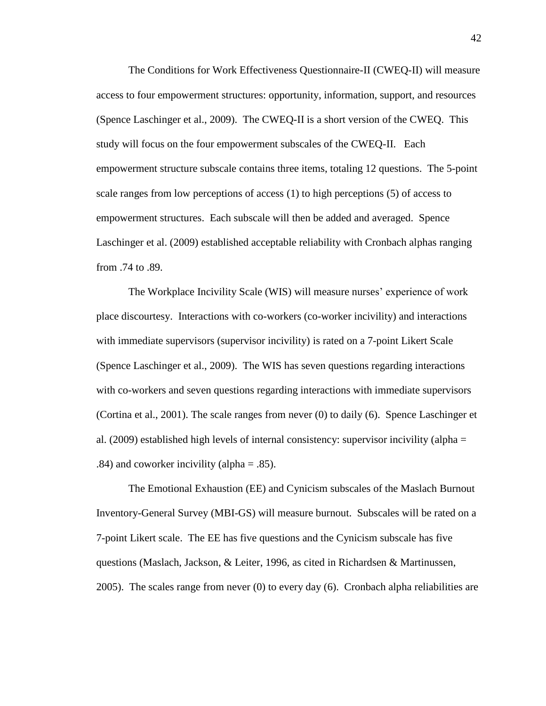The Conditions for Work Effectiveness Questionnaire-II (CWEQ-II) will measure access to four empowerment structures: opportunity, information, support, and resources (Spence Laschinger et al., 2009). The CWEQ-II is a short version of the CWEQ. This study will focus on the four empowerment subscales of the CWEQ-II. Each empowerment structure subscale contains three items, totaling 12 questions. The 5-point scale ranges from low perceptions of access (1) to high perceptions (5) of access to empowerment structures. Each subscale will then be added and averaged. Spence Laschinger et al. (2009) established acceptable reliability with Cronbach alphas ranging from .74 to .89.

The Workplace Incivility Scale (WIS) will measure nurses' experience of work place discourtesy. Interactions with co-workers (co-worker incivility) and interactions with immediate supervisors (supervisor incivility) is rated on a 7-point Likert Scale (Spence Laschinger et al., 2009). The WIS has seven questions regarding interactions with co-workers and seven questions regarding interactions with immediate supervisors (Cortina et al., 2001). The scale ranges from never (0) to daily (6). Spence Laschinger et al. (2009) established high levels of internal consistency: supervisor incivility (alpha = .84) and coworker incivility (alpha  $=$  .85).

The Emotional Exhaustion (EE) and Cynicism subscales of the Maslach Burnout Inventory-General Survey (MBI-GS) will measure burnout. Subscales will be rated on a 7-point Likert scale. The EE has five questions and the Cynicism subscale has five questions (Maslach, Jackson, & Leiter, 1996, as cited in Richardsen & Martinussen, 2005). The scales range from never (0) to every day (6). Cronbach alpha reliabilities are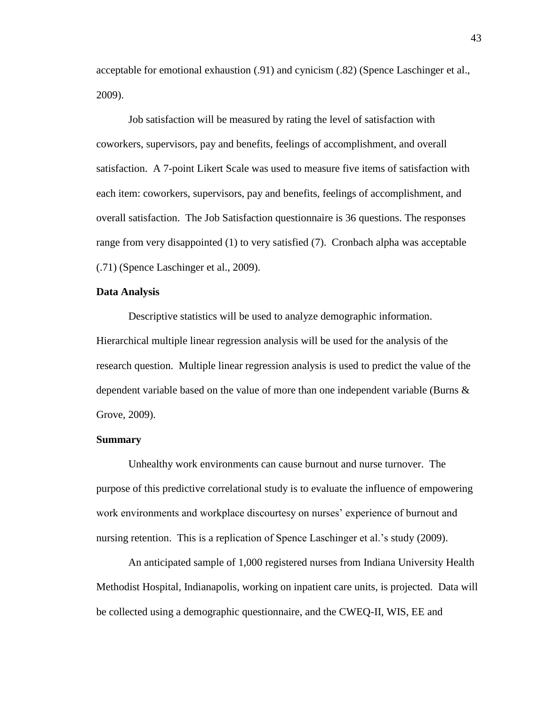acceptable for emotional exhaustion (.91) and cynicism (.82) (Spence Laschinger et al., 2009).

Job satisfaction will be measured by rating the level of satisfaction with coworkers, supervisors, pay and benefits, feelings of accomplishment, and overall satisfaction. A 7-point Likert Scale was used to measure five items of satisfaction with each item: coworkers, supervisors, pay and benefits, feelings of accomplishment, and overall satisfaction. The Job Satisfaction questionnaire is 36 questions. The responses range from very disappointed (1) to very satisfied (7). Cronbach alpha was acceptable (.71) (Spence Laschinger et al., 2009).

### **Data Analysis**

Descriptive statistics will be used to analyze demographic information. Hierarchical multiple linear regression analysis will be used for the analysis of the research question. Multiple linear regression analysis is used to predict the value of the dependent variable based on the value of more than one independent variable (Burns & Grove, 2009).

#### **Summary**

Unhealthy work environments can cause burnout and nurse turnover. The purpose of this predictive correlational study is to evaluate the influence of empowering work environments and workplace discourtesy on nurses' experience of burnout and nursing retention. This is a replication of Spence Laschinger et al.'s study (2009).

An anticipated sample of 1,000 registered nurses from Indiana University Health Methodist Hospital, Indianapolis, working on inpatient care units, is projected. Data will be collected using a demographic questionnaire, and the CWEQ-II, WIS, EE and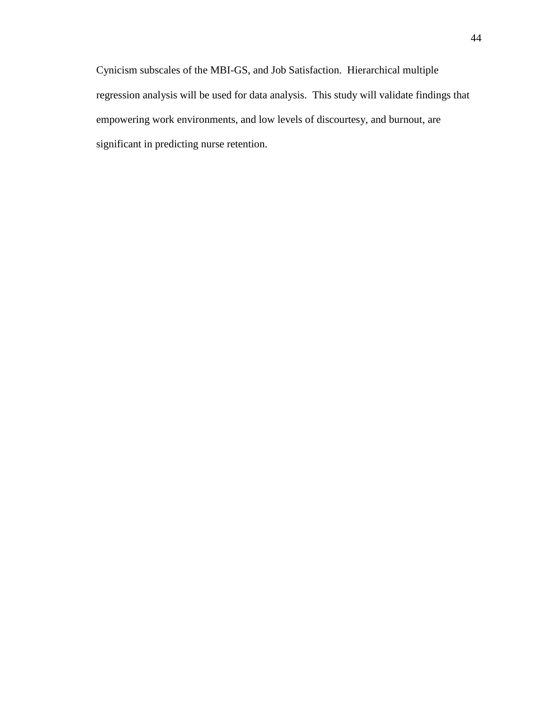Cynicism subscales of the MBI-GS, and Job Satisfaction. Hierarchical multiple regression analysis will be used for data analysis. This study will validate findings that empowering work environments, and low levels of discourtesy, and burnout, are significant in predicting nurse retention.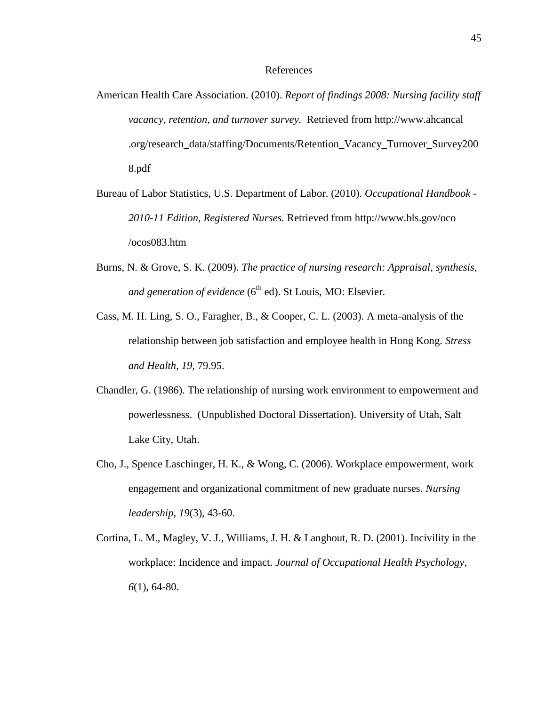#### References

- American Health Care Association. (2010). *Report of findings 2008: Nursing facility staff vacancy, retention, and turnover survey.* Retrieved from [http://www.ahcancal](http://www.ahcancal/) .org/research\_data/staffing/Documents/Retention\_Vacancy\_Turnover\_Survey200 8.pdf
- Bureau of Labor Statistics, U.S. Department of Labor. (2010). *Occupational Handbook - 2010-11 Edition, Registered Nurses.* Retrieved from [http://www.bls.](http://www.bls/)gov/oco /ocos083.htm
- Burns, N. & Grove, S. K. (2009). *The practice of nursing research: Appraisal, synthesis, and generation of evidence* (6<sup>th</sup> ed). St Louis, MO: Elsevier.
- Cass, M. H. Ling, S. O., Faragher, B., & Cooper, C. L. (2003). A meta-analysis of the relationship between job satisfaction and employee health in Hong Kong. *Stress and Health*, *19*, 79.95.
- Chandler, G. (1986). The relationship of nursing work environment to empowerment and powerlessness. (Unpublished Doctoral Dissertation). University of Utah, Salt Lake City, Utah.
- Cho, J., Spence Laschinger, H. K., & Wong, C. (2006). Workplace empowerment, work engagement and organizational commitment of new graduate nurses. *Nursing leadership*, *19*(3), 43-60.
- Cortina, L. M., Magley, V. J., Williams, J. H. & Langhout, R. D. (2001). Incivility in the workplace: Incidence and impact. *Journal of Occupational Health Psychology*, *6*(1), 64-80.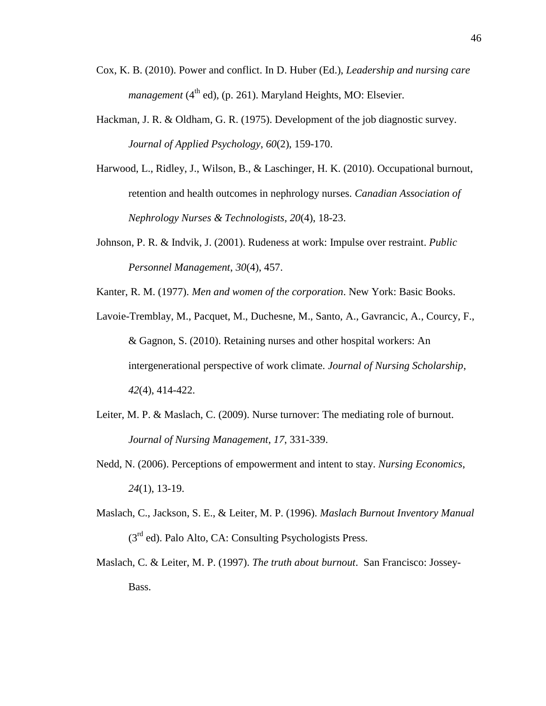- Cox, K. B. (2010). Power and conflict. In D. Huber (Ed.), *Leadership and nursing care management* ( $4<sup>th</sup>$  ed), (p. 261). Maryland Heights, MO: Elsevier.
- Hackman, J. R. & Oldham, G. R. (1975). Development of the job diagnostic survey. *Journal of Applied Psychology*, *60*(2), 159-170.
- Harwood, L., Ridley, J., Wilson, B., & Laschinger, H. K. (2010). Occupational burnout, retention and health outcomes in nephrology nurses. *Canadian Association of Nephrology Nurses & Technologists*, *20*(4), 18-23.
- Johnson, P. R. & Indvik, J. (2001). Rudeness at work: Impulse over restraint. *Public Personnel Management*, *30*(4), 457.

Kanter, R. M. (1977). *Men and women of the corporation*. New York: Basic Books.

- Lavoie-Tremblay, M., Pacquet, M., Duchesne, M., Santo, A., Gavrancic, A., Courcy, F., & Gagnon, S. (2010). Retaining nurses and other hospital workers: An intergenerational perspective of work climate. *Journal of Nursing Scholarship*, *42*(4), 414-422.
- Leiter, M. P. & Maslach, C. (2009). Nurse turnover: The mediating role of burnout. *Journal of Nursing Management*, *17*, 331-339.
- Nedd, N. (2006). Perceptions of empowerment and intent to stay. *Nursing Economics*, *24*(1), 13-19.
- Maslach, C., Jackson, S. E., & Leiter, M. P. (1996). *Maslach Burnout Inventory Manual*  $(3<sup>rd</sup>$  ed). Palo Alto, CA: Consulting Psychologists Press.
- Maslach, C. & Leiter, M. P. (1997). *The truth about burnout*. San Francisco: Jossey-Bass.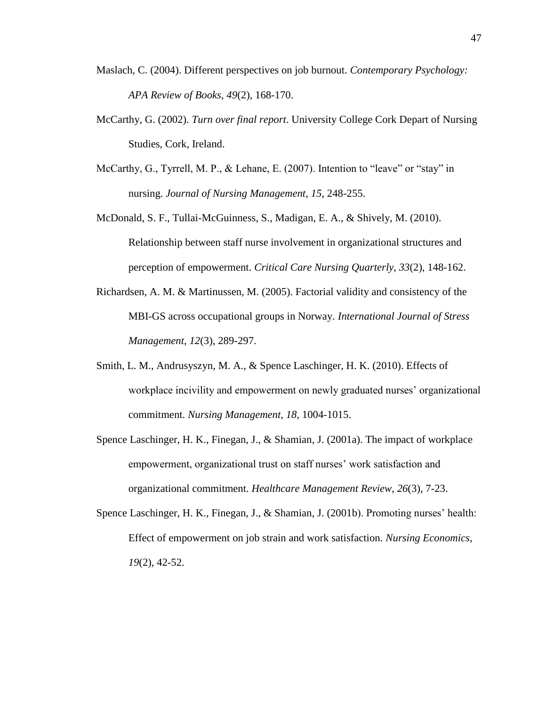- Maslach, C. (2004). Different perspectives on job burnout. *Contemporary Psychology: APA Review of Books*, *49*(2), 168-170.
- McCarthy, G. (2002). *Turn over final report*. University College Cork Depart of Nursing Studies, Cork, Ireland.
- McCarthy, G., Tyrrell, M. P., & Lehane, E. (2007). Intention to "leave" or "stay" in nursing. *Journal of Nursing Management*, *15*, 248-255.
- McDonald, S. F., Tullai-McGuinness, S., Madigan, E. A., & Shively, M. (2010). Relationship between staff nurse involvement in organizational structures and perception of empowerment. *Critical Care Nursing Quarterly*, *33*(2), 148-162.
- Richardsen, A. M. & Martinussen, M. (2005). Factorial validity and consistency of the MBI-GS across occupational groups in Norway. *International Journal of Stress Management*, *12*(3), 289-297.
- Smith, L. M., Andrusyszyn, M. A., & Spence Laschinger, H. K. (2010). Effects of workplace incivility and empowerment on newly graduated nurses' organizational commitment. *Nursing Management*, *18*, 1004-1015.
- Spence Laschinger, H. K., Finegan, J., & Shamian, J. (2001a). The impact of workplace empowerment, organizational trust on staff nurses' work satisfaction and organizational commitment. *Healthcare Management Review*, *26*(3), 7-23.
- Spence Laschinger, H. K., Finegan, J., & Shamian, J. (2001b). Promoting nurses' health: Effect of empowerment on job strain and work satisfaction. *Nursing Economics*, *19*(2), 42-52.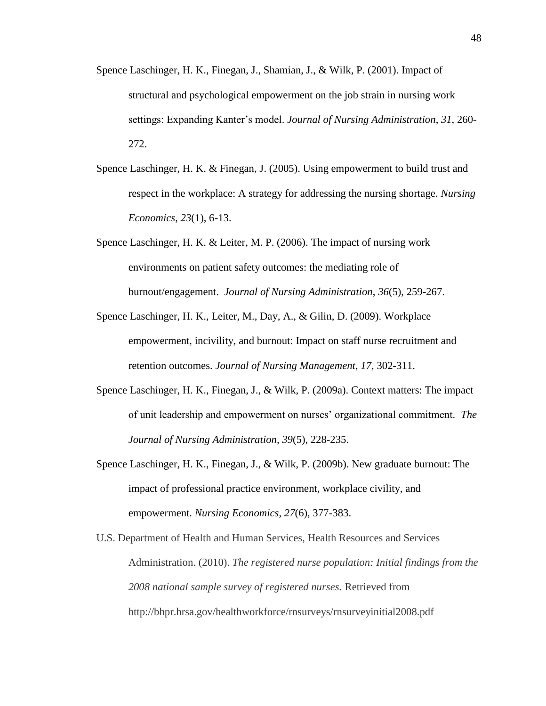- Spence Laschinger, H. K., Finegan, J., Shamian, J., & Wilk, P. (2001). Impact of structural and psychological empowerment on the job strain in nursing work settings: Expanding Kanter's model. *Journal of Nursing Administration*, *31*, 260- 272.
- Spence Laschinger, H. K. & Finegan, J. (2005). Using empowerment to build trust and respect in the workplace: A strategy for addressing the nursing shortage. *Nursing Economics*, *23*(1), 6-13.
- Spence Laschinger, H. K. & Leiter, M. P. (2006). The impact of nursing work environments on patient safety outcomes: the mediating role of burnout/engagement. *Journal of Nursing Administration*, *36*(5), 259-267.
- Spence Laschinger, H. K., Leiter, M., Day, A., & Gilin, D. (2009). Workplace empowerment, incivility, and burnout: Impact on staff nurse recruitment and retention outcomes. *Journal of Nursing Management*, *17*, 302-311.
- Spence Laschinger, H. K., Finegan, J., & Wilk, P. (2009a). Context matters: The impact of unit leadership and empowerment on nurses' organizational commitment. *The Journal of Nursing Administration, 39*(5), 228-235.
- Spence Laschinger, H. K., Finegan, J., & Wilk, P. (2009b). New graduate burnout: The impact of professional practice environment, workplace civility, and empowerment. *Nursing Economics*, *27*(6), 377-383.
- U.S. Department of Health and Human Services, Health Resources and Services Administration. (2010). *The registered nurse population: Initial findings from the 2008 national sample survey of registered nurses.* Retrieved from http://bhpr.hrsa.gov/healthworkforce/rnsurveys/rnsurveyinitial2008.pdf